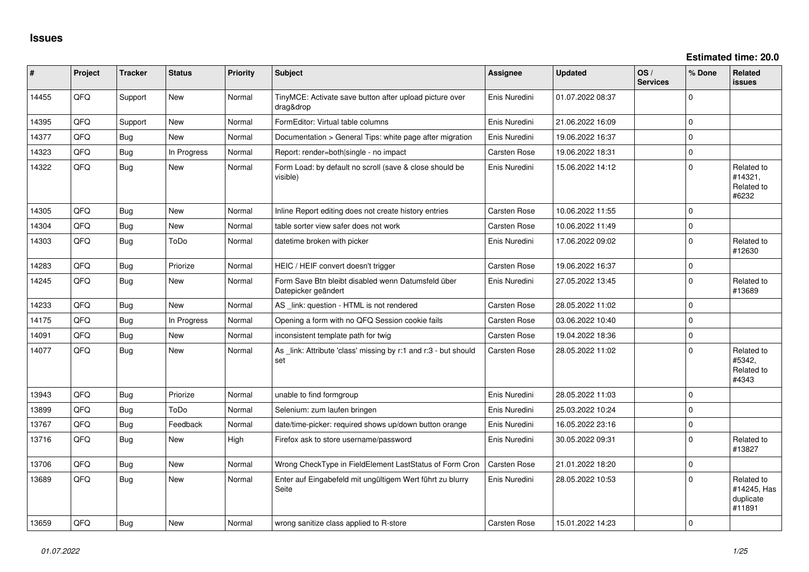| ∥ #   | Project    | <b>Tracker</b> | <b>Status</b> | <b>Priority</b> | <b>Subject</b>                                                            | <b>Assignee</b>     | <b>Updated</b>   | OS/<br><b>Services</b> | % Done       | <b>Related</b><br><b>issues</b>                  |
|-------|------------|----------------|---------------|-----------------|---------------------------------------------------------------------------|---------------------|------------------|------------------------|--------------|--------------------------------------------------|
| 14455 | QFQ        | Support        | <b>New</b>    | Normal          | TinyMCE: Activate save button after upload picture over<br>drag&drop      | Enis Nuredini       | 01.07.2022 08:37 |                        | $\Omega$     |                                                  |
| 14395 | QFQ        | Support        | <b>New</b>    | Normal          | FormEditor: Virtual table columns                                         | Enis Nuredini       | 21.06.2022 16:09 |                        | $\mathbf 0$  |                                                  |
| 14377 | QFQ        | Bug            | <b>New</b>    | Normal          | Documentation > General Tips: white page after migration                  | Enis Nuredini       | 19.06.2022 16:37 |                        | $\Omega$     |                                                  |
| 14323 | QFQ        | Bug            | In Progress   | Normal          | Report: render=both single - no impact                                    | Carsten Rose        | 19.06.2022 18:31 |                        | $\mathbf 0$  |                                                  |
| 14322 | QFQ        | <b>Bug</b>     | New           | Normal          | Form Load: by default no scroll (save & close should be<br>visible)       | Enis Nuredini       | 15.06.2022 14:12 |                        | $\Omega$     | Related to<br>#14321,<br>Related to<br>#6232     |
| 14305 | <b>OFO</b> | Bug            | New           | Normal          | Inline Report editing does not create history entries                     | Carsten Rose        | 10.06.2022 11:55 |                        | $\Omega$     |                                                  |
| 14304 | QFQ        | <b>Bug</b>     | New           | Normal          | table sorter view safer does not work                                     | Carsten Rose        | 10.06.2022 11:49 |                        | $\mathbf 0$  |                                                  |
| 14303 | QFQ        | <b>Bug</b>     | ToDo          | Normal          | datetime broken with picker                                               | Enis Nuredini       | 17.06.2022 09:02 |                        | $\Omega$     | Related to<br>#12630                             |
| 14283 | QFQ        | <b>Bug</b>     | Priorize      | Normal          | HEIC / HEIF convert doesn't trigger                                       | Carsten Rose        | 19.06.2022 16:37 |                        | $\pmb{0}$    |                                                  |
| 14245 | QFQ        | <b>Bug</b>     | New           | Normal          | Form Save Btn bleibt disabled wenn Datumsfeld über<br>Datepicker geändert | Enis Nuredini       | 27.05.2022 13:45 |                        | $\mathbf 0$  | Related to<br>#13689                             |
| 14233 | QFQ        | Bug            | <b>New</b>    | Normal          | AS link: question - HTML is not rendered                                  | Carsten Rose        | 28.05.2022 11:02 |                        | $\Omega$     |                                                  |
| 14175 | QFQ        | Bug            | In Progress   | Normal          | Opening a form with no QFQ Session cookie fails                           | Carsten Rose        | 03.06.2022 10:40 |                        | $\Omega$     |                                                  |
| 14091 | QFQ        | <b>Bug</b>     | <b>New</b>    | Normal          | inconsistent template path for twig                                       | Carsten Rose        | 19.04.2022 18:36 |                        | $\mathbf 0$  |                                                  |
| 14077 | QFQ        | <b>Bug</b>     | <b>New</b>    | Normal          | As link: Attribute 'class' missing by r:1 and r:3 - but should<br>set     | Carsten Rose        | 28.05.2022 11:02 |                        | $\Omega$     | Related to<br>#5342.<br>Related to<br>#4343      |
| 13943 | QFQ        | Bug            | Priorize      | Normal          | unable to find formgroup                                                  | Enis Nuredini       | 28.05.2022 11:03 |                        | $\Omega$     |                                                  |
| 13899 | QFQ        | <b>Bug</b>     | ToDo          | Normal          | Selenium: zum laufen bringen                                              | Enis Nuredini       | 25.03.2022 10:24 |                        | $\Omega$     |                                                  |
| 13767 | QFQ        | <b>Bug</b>     | Feedback      | Normal          | date/time-picker: required shows up/down button orange                    | Enis Nuredini       | 16.05.2022 23:16 |                        | $\mathbf{0}$ |                                                  |
| 13716 | QFQ        | Bug            | New           | High            | Firefox ask to store username/password                                    | Enis Nuredini       | 30.05.2022 09:31 |                        | $\mathbf 0$  | Related to<br>#13827                             |
| 13706 | QFQ        | Bug            | New           | Normal          | Wrong CheckType in FieldElement LastStatus of Form Cron                   | Carsten Rose        | 21.01.2022 18:20 |                        | $\mathbf 0$  |                                                  |
| 13689 | QFQ        | Bug            | New           | Normal          | Enter auf Eingabefeld mit ungültigem Wert führt zu blurry<br>Seite        | Enis Nuredini       | 28.05.2022 10:53 |                        | $\Omega$     | Related to<br>#14245, Has<br>duplicate<br>#11891 |
| 13659 | QFQ        | Bug            | New           | Normal          | wrong sanitize class applied to R-store                                   | <b>Carsten Rose</b> | 15.01.2022 14:23 |                        | $\mathbf 0$  |                                                  |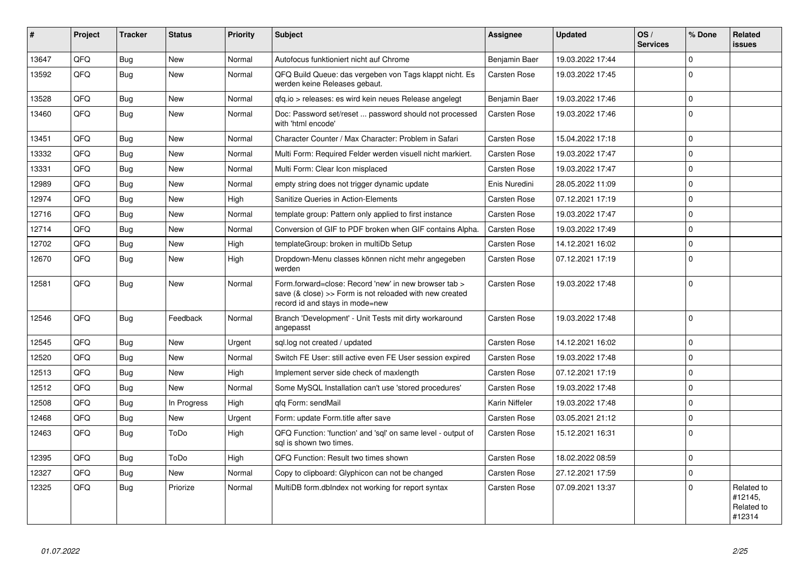| #     | Project | <b>Tracker</b> | <b>Status</b> | <b>Priority</b> | <b>Subject</b>                                                                                                                                      | Assignee            | <b>Updated</b>   | OS/<br><b>Services</b> | % Done      | Related<br><b>issues</b>                      |
|-------|---------|----------------|---------------|-----------------|-----------------------------------------------------------------------------------------------------------------------------------------------------|---------------------|------------------|------------------------|-------------|-----------------------------------------------|
| 13647 | QFQ     | Bug            | <b>New</b>    | Normal          | Autofocus funktioniert nicht auf Chrome                                                                                                             | Benjamin Baer       | 19.03.2022 17:44 |                        | $\Omega$    |                                               |
| 13592 | QFQ     | Bug            | <b>New</b>    | Normal          | QFQ Build Queue: das vergeben von Tags klappt nicht. Es<br>werden keine Releases gebaut.                                                            | <b>Carsten Rose</b> | 19.03.2022 17:45 |                        | $\Omega$    |                                               |
| 13528 | QFQ     | Bug            | <b>New</b>    | Normal          | qfq.io > releases: es wird kein neues Release angelegt                                                                                              | Benjamin Baer       | 19.03.2022 17:46 |                        | $\mathbf 0$ |                                               |
| 13460 | QFQ     | Bug            | <b>New</b>    | Normal          | Doc: Password set/reset  password should not processed<br>with 'html encode'                                                                        | <b>Carsten Rose</b> | 19.03.2022 17:46 |                        | $\Omega$    |                                               |
| 13451 | QFQ     | Bug            | <b>New</b>    | Normal          | Character Counter / Max Character: Problem in Safari                                                                                                | Carsten Rose        | 15.04.2022 17:18 |                        | $\Omega$    |                                               |
| 13332 | QFQ     | Bug            | <b>New</b>    | Normal          | Multi Form: Required Felder werden visuell nicht markiert.                                                                                          | Carsten Rose        | 19.03.2022 17:47 |                        | $\Omega$    |                                               |
| 13331 | QFQ     | Bug            | <b>New</b>    | Normal          | Multi Form: Clear Icon misplaced                                                                                                                    | Carsten Rose        | 19.03.2022 17:47 |                        | $\Omega$    |                                               |
| 12989 | QFQ     | Bug            | <b>New</b>    | Normal          | empty string does not trigger dynamic update                                                                                                        | Enis Nuredini       | 28.05.2022 11:09 |                        | $\Omega$    |                                               |
| 12974 | QFQ     | Bug            | <b>New</b>    | High            | Sanitize Queries in Action-Elements                                                                                                                 | <b>Carsten Rose</b> | 07.12.2021 17:19 |                        | $\Omega$    |                                               |
| 12716 | QFQ     | Bug            | <b>New</b>    | Normal          | template group: Pattern only applied to first instance                                                                                              | Carsten Rose        | 19.03.2022 17:47 |                        | $\Omega$    |                                               |
| 12714 | QFQ     | Bug            | <b>New</b>    | Normal          | Conversion of GIF to PDF broken when GIF contains Alpha.                                                                                            | <b>Carsten Rose</b> | 19.03.2022 17:49 |                        | $\Omega$    |                                               |
| 12702 | QFQ     | <b>Bug</b>     | <b>New</b>    | High            | templateGroup: broken in multiDb Setup                                                                                                              | Carsten Rose        | 14.12.2021 16:02 |                        | $\Omega$    |                                               |
| 12670 | QFQ     | Bug            | <b>New</b>    | High            | Dropdown-Menu classes können nicht mehr angegeben<br>werden                                                                                         | Carsten Rose        | 07.12.2021 17:19 |                        | $\Omega$    |                                               |
| 12581 | QFQ     | <b>Bug</b>     | <b>New</b>    | Normal          | Form.forward=close: Record 'new' in new browser tab ><br>save (& close) >> Form is not reloaded with new created<br>record id and stays in mode=new | <b>Carsten Rose</b> | 19.03.2022 17:48 |                        | $\Omega$    |                                               |
| 12546 | QFQ     | Bug            | Feedback      | Normal          | Branch 'Development' - Unit Tests mit dirty workaround<br>angepasst                                                                                 | <b>Carsten Rose</b> | 19.03.2022 17:48 |                        | $\mathbf 0$ |                                               |
| 12545 | QFQ     | Bug            | <b>New</b>    | Urgent          | sql.log not created / updated                                                                                                                       | <b>Carsten Rose</b> | 14.12.2021 16:02 |                        | $\Omega$    |                                               |
| 12520 | QFQ     | Bug            | <b>New</b>    | Normal          | Switch FE User: still active even FE User session expired                                                                                           | Carsten Rose        | 19.03.2022 17:48 |                        | $\Omega$    |                                               |
| 12513 | QFQ     | Bug            | <b>New</b>    | High            | Implement server side check of maxlength                                                                                                            | Carsten Rose        | 07.12.2021 17:19 |                        | $\Omega$    |                                               |
| 12512 | QFQ     | Bug            | <b>New</b>    | Normal          | Some MySQL Installation can't use 'stored procedures'                                                                                               | <b>Carsten Rose</b> | 19.03.2022 17:48 |                        | $\Omega$    |                                               |
| 12508 | QFQ     | Bug            | In Progress   | High            | qfq Form: sendMail                                                                                                                                  | Karin Niffeler      | 19.03.2022 17:48 |                        | $\Omega$    |                                               |
| 12468 | QFQ     | Bug            | <b>New</b>    | Urgent          | Form: update Form.title after save                                                                                                                  | <b>Carsten Rose</b> | 03.05.2021 21:12 |                        | $\Omega$    |                                               |
| 12463 | QFQ     | Bug            | ToDo          | High            | QFQ Function: 'function' and 'sql' on same level - output of<br>sal is shown two times.                                                             | <b>Carsten Rose</b> | 15.12.2021 16:31 |                        | $\Omega$    |                                               |
| 12395 | QFQ     | <b>Bug</b>     | ToDo          | High            | QFQ Function: Result two times shown                                                                                                                | <b>Carsten Rose</b> | 18.02.2022 08:59 |                        | $\Omega$    |                                               |
| 12327 | QFQ     | <b>Bug</b>     | <b>New</b>    | Normal          | Copy to clipboard: Glyphicon can not be changed                                                                                                     | Carsten Rose        | 27.12.2021 17:59 |                        | $\Omega$    |                                               |
| 12325 | QFQ     | <b>Bug</b>     | Priorize      | Normal          | MultiDB form.dblndex not working for report syntax                                                                                                  | <b>Carsten Rose</b> | 07.09.2021 13:37 |                        | $\Omega$    | Related to<br>#12145.<br>Related to<br>#12314 |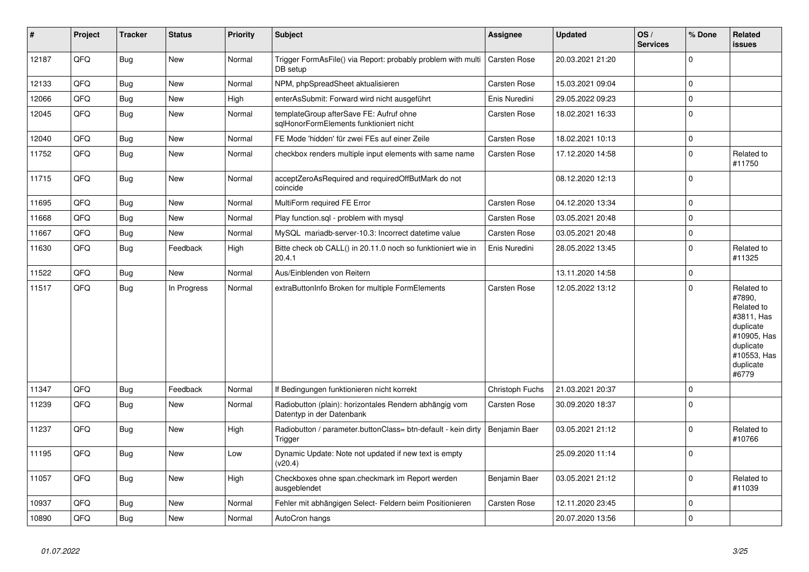| #     | Project | <b>Tracker</b> | <b>Status</b> | <b>Priority</b> | <b>Subject</b>                                                                      | <b>Assignee</b>     | <b>Updated</b>   | OS/<br><b>Services</b> | % Done       | <b>Related</b><br><b>issues</b>                                                                                                |
|-------|---------|----------------|---------------|-----------------|-------------------------------------------------------------------------------------|---------------------|------------------|------------------------|--------------|--------------------------------------------------------------------------------------------------------------------------------|
| 12187 | QFQ     | <b>Bug</b>     | <b>New</b>    | Normal          | Trigger FormAsFile() via Report: probably problem with multi<br>DB setup            | <b>Carsten Rose</b> | 20.03.2021 21:20 |                        | $\mathbf 0$  |                                                                                                                                |
| 12133 | QFQ     | <b>Bug</b>     | <b>New</b>    | Normal          | NPM, phpSpreadSheet aktualisieren                                                   | Carsten Rose        | 15.03.2021 09:04 |                        | $\pmb{0}$    |                                                                                                                                |
| 12066 | QFQ     | <b>Bug</b>     | <b>New</b>    | High            | enterAsSubmit: Forward wird nicht ausgeführt                                        | Enis Nuredini       | 29.05.2022 09:23 |                        | $\mathbf{0}$ |                                                                                                                                |
| 12045 | QFQ     | <b>Bug</b>     | New           | Normal          | templateGroup afterSave FE: Aufruf ohne<br>sqlHonorFormElements funktioniert nicht  | Carsten Rose        | 18.02.2021 16:33 |                        | $\mathbf 0$  |                                                                                                                                |
| 12040 | QFQ     | <b>Bug</b>     | <b>New</b>    | Normal          | FE Mode 'hidden' für zwei FEs auf einer Zeile                                       | Carsten Rose        | 18.02.2021 10:13 |                        | $\pmb{0}$    |                                                                                                                                |
| 11752 | QFQ     | <b>Bug</b>     | <b>New</b>    | Normal          | checkbox renders multiple input elements with same name                             | Carsten Rose        | 17.12.2020 14:58 |                        | $\Omega$     | Related to<br>#11750                                                                                                           |
| 11715 | QFQ     | <b>Bug</b>     | New           | Normal          | acceptZeroAsRequired and requiredOffButMark do not<br>coincide                      |                     | 08.12.2020 12:13 |                        | $\mathbf 0$  |                                                                                                                                |
| 11695 | QFQ     | Bug            | <b>New</b>    | Normal          | MultiForm required FE Error                                                         | Carsten Rose        | 04.12.2020 13:34 |                        | $\mathsf 0$  |                                                                                                                                |
| 11668 | QFQ     | <b>Bug</b>     | <b>New</b>    | Normal          | Play function.sql - problem with mysql                                              | Carsten Rose        | 03.05.2021 20:48 |                        | $\mathbf 0$  |                                                                                                                                |
| 11667 | QFQ     | <b>Bug</b>     | <b>New</b>    | Normal          | MySQL mariadb-server-10.3: Incorrect datetime value                                 | Carsten Rose        | 03.05.2021 20:48 |                        | $\mathbf 0$  |                                                                                                                                |
| 11630 | QFQ     | Bug            | Feedback      | High            | Bitte check ob CALL() in 20.11.0 noch so funktioniert wie in<br>20.4.1              | Enis Nuredini       | 28.05.2022 13:45 |                        | $\mathbf{0}$ | Related to<br>#11325                                                                                                           |
| 11522 | QFQ     | <b>Bug</b>     | <b>New</b>    | Normal          | Aus/Einblenden von Reitern                                                          |                     | 13.11.2020 14:58 |                        | $\pmb{0}$    |                                                                                                                                |
| 11517 | QFQ     | <b>Bug</b>     | In Progress   | Normal          | extraButtonInfo Broken for multiple FormElements                                    | Carsten Rose        | 12.05.2022 13:12 |                        | $\Omega$     | Related to<br>#7890,<br>Related to<br>#3811, Has<br>duplicate<br>#10905, Has<br>duplicate<br>#10553, Has<br>duplicate<br>#6779 |
| 11347 | QFQ     | <b>Bug</b>     | Feedback      | Normal          | If Bedingungen funktionieren nicht korrekt                                          | Christoph Fuchs     | 21.03.2021 20:37 |                        | $\mathbf 0$  |                                                                                                                                |
| 11239 | QFQ     | <b>Bug</b>     | <b>New</b>    | Normal          | Radiobutton (plain): horizontales Rendern abhängig vom<br>Datentyp in der Datenbank | Carsten Rose        | 30.09.2020 18:37 |                        | $\Omega$     |                                                                                                                                |
| 11237 | QFQ     | <b>Bug</b>     | New           | High            | Radiobutton / parameter.buttonClass= btn-default - kein dirty<br>Trigger            | Benjamin Baer       | 03.05.2021 21:12 |                        | $\mathbf 0$  | Related to<br>#10766                                                                                                           |
| 11195 | QFQ     | <b>Bug</b>     | <b>New</b>    | Low             | Dynamic Update: Note not updated if new text is empty<br>(v20.4)                    |                     | 25.09.2020 11:14 |                        | $\mathbf 0$  |                                                                                                                                |
| 11057 | QFQ     | <b>Bug</b>     | New           | High            | Checkboxes ohne span.checkmark im Report werden<br>ausgeblendet                     | Benjamin Baer       | 03.05.2021 21:12 |                        | $\mathbf 0$  | Related to<br>#11039                                                                                                           |
| 10937 | QFQ     | Bug            | <b>New</b>    | Normal          | Fehler mit abhängigen Select- Feldern beim Positionieren                            | Carsten Rose        | 12.11.2020 23:45 |                        | $\mathbf 0$  |                                                                                                                                |
| 10890 | QFQ     | <b>Bug</b>     | New           | Normal          | AutoCron hangs                                                                      |                     | 20.07.2020 13:56 |                        | $\pmb{0}$    |                                                                                                                                |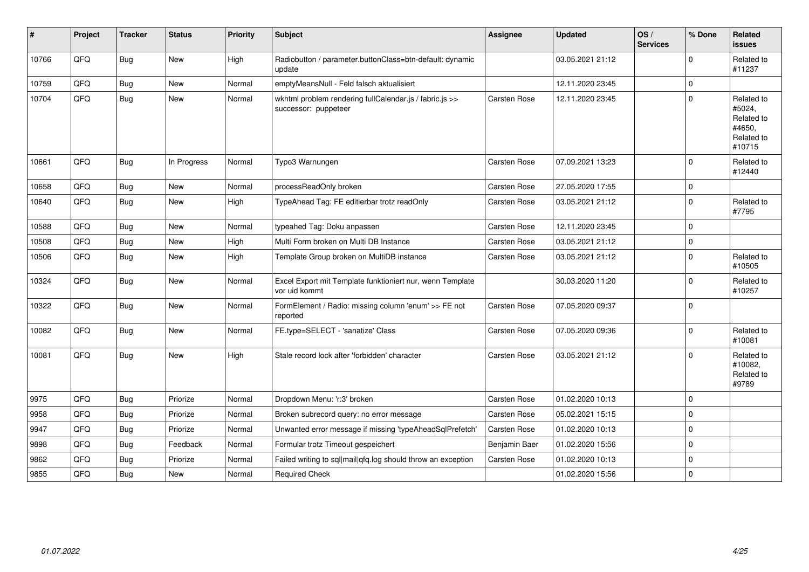| #     | Project | <b>Tracker</b> | <b>Status</b> | <b>Priority</b> | <b>Subject</b>                                                                  | <b>Assignee</b>     | <b>Updated</b>   | OS/<br><b>Services</b> | % Done      | <b>Related</b><br>issues                                             |
|-------|---------|----------------|---------------|-----------------|---------------------------------------------------------------------------------|---------------------|------------------|------------------------|-------------|----------------------------------------------------------------------|
| 10766 | QFQ     | Bug            | <b>New</b>    | High            | Radiobutton / parameter.buttonClass=btn-default: dynamic<br>update              |                     | 03.05.2021 21:12 |                        | $\mathbf 0$ | Related to<br>#11237                                                 |
| 10759 | QFQ     | Bug            | New           | Normal          | emptyMeansNull - Feld falsch aktualisiert                                       |                     | 12.11.2020 23:45 |                        | $\mathbf 0$ |                                                                      |
| 10704 | QFQ     | Bug            | New           | Normal          | wkhtml problem rendering fullCalendar.js / fabric.js >><br>successor: puppeteer | <b>Carsten Rose</b> | 12.11.2020 23:45 |                        | $\mathbf 0$ | Related to<br>#5024,<br>Related to<br>#4650.<br>Related to<br>#10715 |
| 10661 | QFQ     | Bug            | In Progress   | Normal          | Typo3 Warnungen                                                                 | <b>Carsten Rose</b> | 07.09.2021 13:23 |                        | $\mathbf 0$ | Related to<br>#12440                                                 |
| 10658 | QFQ     | Bug            | New           | Normal          | processReadOnly broken                                                          | <b>Carsten Rose</b> | 27.05.2020 17:55 |                        | $\mathbf 0$ |                                                                      |
| 10640 | QFQ     | <b>Bug</b>     | New           | High            | TypeAhead Tag: FE editierbar trotz readOnly                                     | <b>Carsten Rose</b> | 03.05.2021 21:12 |                        | $\mathbf 0$ | Related to<br>#7795                                                  |
| 10588 | QFQ     | <b>Bug</b>     | <b>New</b>    | Normal          | typeahed Tag: Doku anpassen                                                     | <b>Carsten Rose</b> | 12.11.2020 23:45 |                        | $\mathbf 0$ |                                                                      |
| 10508 | QFQ     | <b>Bug</b>     | New           | High            | Multi Form broken on Multi DB Instance                                          | <b>Carsten Rose</b> | 03.05.2021 21:12 |                        | $\mathbf 0$ |                                                                      |
| 10506 | QFQ     | Bug            | New           | High            | Template Group broken on MultiDB instance                                       | <b>Carsten Rose</b> | 03.05.2021 21:12 |                        | $\mathbf 0$ | Related to<br>#10505                                                 |
| 10324 | QFQ     | Bug            | <b>New</b>    | Normal          | Excel Export mit Template funktioniert nur, wenn Template<br>vor uid kommt      |                     | 30.03.2020 11:20 |                        | $\mathbf 0$ | Related to<br>#10257                                                 |
| 10322 | QFQ     | Bug            | <b>New</b>    | Normal          | FormElement / Radio: missing column 'enum' >> FE not<br>reported                | <b>Carsten Rose</b> | 07.05.2020 09:37 |                        | $\mathbf 0$ |                                                                      |
| 10082 | QFQ     | Bug            | New           | Normal          | FE.type=SELECT - 'sanatize' Class                                               | <b>Carsten Rose</b> | 07.05.2020 09:36 |                        | $\mathbf 0$ | Related to<br>#10081                                                 |
| 10081 | QFQ     | <b>Bug</b>     | New           | High            | Stale record lock after 'forbidden' character                                   | <b>Carsten Rose</b> | 03.05.2021 21:12 |                        | $\mathbf 0$ | Related to<br>#10082,<br>Related to<br>#9789                         |
| 9975  | QFQ     | Bug            | Priorize      | Normal          | Dropdown Menu: 'r:3' broken                                                     | Carsten Rose        | 01.02.2020 10:13 |                        | $\Omega$    |                                                                      |
| 9958  | QFQ     | Bug            | Priorize      | Normal          | Broken subrecord query: no error message                                        | <b>Carsten Rose</b> | 05.02.2021 15:15 |                        | $\mathbf 0$ |                                                                      |
| 9947  | QFQ     | Bug            | Priorize      | Normal          | Unwanted error message if missing 'typeAheadSqlPrefetch'                        | Carsten Rose        | 01.02.2020 10:13 |                        | $\mathbf 0$ |                                                                      |
| 9898  | QFQ     | Bug            | Feedback      | Normal          | Formular trotz Timeout gespeichert                                              | Benjamin Baer       | 01.02.2020 15:56 |                        | $\mathbf 0$ |                                                                      |
| 9862  | QFQ     | <b>Bug</b>     | Priorize      | Normal          | Failed writing to sql mail qfq.log should throw an exception                    | Carsten Rose        | 01.02.2020 10:13 |                        | $\mathbf 0$ |                                                                      |
| 9855  | QFQ     | Bug            | New           | Normal          | <b>Required Check</b>                                                           |                     | 01.02.2020 15:56 |                        | $\mathbf 0$ |                                                                      |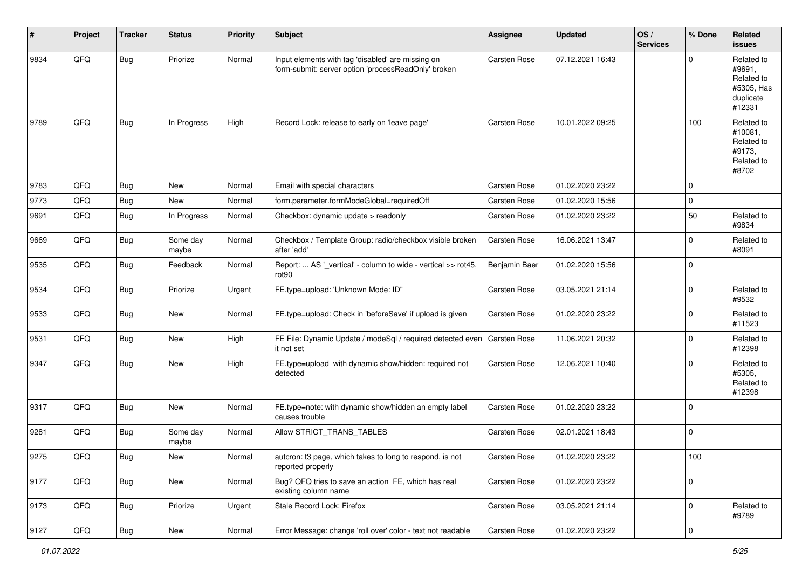| #    | Project | <b>Tracker</b> | <b>Status</b>     | <b>Priority</b> | <b>Subject</b>                                                                                           | Assignee      | <b>Updated</b>   | OS/<br><b>Services</b> | % Done      | Related<br>issues                                                       |
|------|---------|----------------|-------------------|-----------------|----------------------------------------------------------------------------------------------------------|---------------|------------------|------------------------|-------------|-------------------------------------------------------------------------|
| 9834 | QFQ     | Bug            | Priorize          | Normal          | Input elements with tag 'disabled' are missing on<br>form-submit: server option 'processReadOnly' broken | Carsten Rose  | 07.12.2021 16:43 |                        | $\mathbf 0$ | Related to<br>#9691,<br>Related to<br>#5305, Has<br>duplicate<br>#12331 |
| 9789 | QFQ     | Bug            | In Progress       | High            | Record Lock: release to early on 'leave page'                                                            | Carsten Rose  | 10.01.2022 09:25 |                        | 100         | Related to<br>#10081,<br>Related to<br>#9173.<br>Related to<br>#8702    |
| 9783 | QFQ     | Bug            | <b>New</b>        | Normal          | Email with special characters                                                                            | Carsten Rose  | 01.02.2020 23:22 |                        | $\mathbf 0$ |                                                                         |
| 9773 | QFQ     | <b>Bug</b>     | <b>New</b>        | Normal          | form.parameter.formModeGlobal=requiredOff                                                                | Carsten Rose  | 01.02.2020 15:56 |                        | 0           |                                                                         |
| 9691 | QFQ     | Bug            | In Progress       | Normal          | Checkbox: dynamic update > readonly                                                                      | Carsten Rose  | 01.02.2020 23:22 |                        | 50          | Related to<br>#9834                                                     |
| 9669 | QFQ     | Bug            | Some day<br>maybe | Normal          | Checkbox / Template Group: radio/checkbox visible broken<br>after 'add'                                  | Carsten Rose  | 16.06.2021 13:47 |                        | $\mathbf 0$ | Related to<br>#8091                                                     |
| 9535 | QFQ     | Bug            | Feedback          | Normal          | Report:  AS '_vertical' - column to wide - vertical >> rot45,<br>rot <sub>90</sub>                       | Benjamin Baer | 01.02.2020 15:56 |                        | $\mathbf 0$ |                                                                         |
| 9534 | QFQ     | Bug            | Priorize          | Urgent          | FE.type=upload: 'Unknown Mode: ID"                                                                       | Carsten Rose  | 03.05.2021 21:14 |                        | $\mathbf 0$ | Related to<br>#9532                                                     |
| 9533 | QFQ     | Bug            | <b>New</b>        | Normal          | FE.type=upload: Check in 'beforeSave' if upload is given                                                 | Carsten Rose  | 01.02.2020 23:22 |                        | $\mathbf 0$ | Related to<br>#11523                                                    |
| 9531 | QFQ     | Bug            | <b>New</b>        | High            | FE File: Dynamic Update / modeSql / required detected even<br>it not set                                 | Carsten Rose  | 11.06.2021 20:32 |                        | $\mathbf 0$ | Related to<br>#12398                                                    |
| 9347 | QFQ     | Bug            | New               | High            | FE.type=upload with dynamic show/hidden: required not<br>detected                                        | Carsten Rose  | 12.06.2021 10:40 |                        | $\Omega$    | Related to<br>#5305,<br>Related to<br>#12398                            |
| 9317 | QFQ     | Bug            | <b>New</b>        | Normal          | FE.type=note: with dynamic show/hidden an empty label<br>causes trouble                                  | Carsten Rose  | 01.02.2020 23:22 |                        | $\Omega$    |                                                                         |
| 9281 | QFQ     | Bug            | Some day<br>maybe | Normal          | Allow STRICT TRANS TABLES                                                                                | Carsten Rose  | 02.01.2021 18:43 |                        | $\mathbf 0$ |                                                                         |
| 9275 | QFQ     | Bug            | New               | Normal          | autcron: t3 page, which takes to long to respond, is not<br>reported properly                            | Carsten Rose  | 01.02.2020 23:22 |                        | 100         |                                                                         |
| 9177 | QFQ     | <b>Bug</b>     | New               | Normal          | Bug? QFQ tries to save an action FE, which has real<br>existing column name                              | Carsten Rose  | 01.02.2020 23:22 |                        | $\pmb{0}$   |                                                                         |
| 9173 | QFQ     | <b>Bug</b>     | Priorize          | Urgent          | Stale Record Lock: Firefox                                                                               | Carsten Rose  | 03.05.2021 21:14 |                        | $\pmb{0}$   | Related to<br>#9789                                                     |
| 9127 | QFG     | <b>Bug</b>     | New               | Normal          | Error Message: change 'roll over' color - text not readable                                              | Carsten Rose  | 01.02.2020 23:22 |                        | $\pmb{0}$   |                                                                         |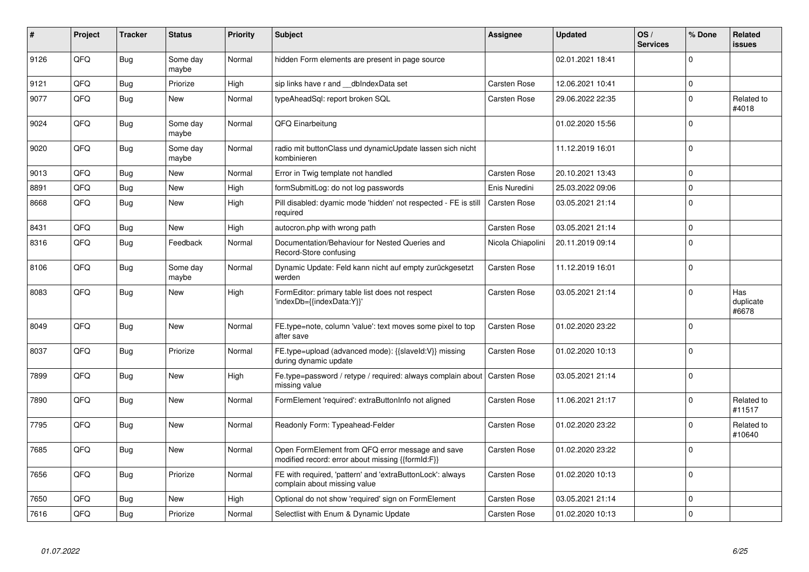| #    | Project | <b>Tracker</b> | <b>Status</b>     | <b>Priority</b> | <b>Subject</b>                                                                                        | <b>Assignee</b>     | <b>Updated</b>   | OS/<br><b>Services</b> | % Done      | <b>Related</b><br><b>issues</b> |
|------|---------|----------------|-------------------|-----------------|-------------------------------------------------------------------------------------------------------|---------------------|------------------|------------------------|-------------|---------------------------------|
| 9126 | QFQ     | <b>Bug</b>     | Some day<br>maybe | Normal          | hidden Form elements are present in page source                                                       |                     | 02.01.2021 18:41 |                        | $\Omega$    |                                 |
| 9121 | QFQ     | <b>Bug</b>     | Priorize          | High            | sip links have r and dblndexData set                                                                  | <b>Carsten Rose</b> | 12.06.2021 10:41 |                        | $\mathbf 0$ |                                 |
| 9077 | QFQ     | Bug            | <b>New</b>        | Normal          | typeAheadSgl: report broken SQL                                                                       | Carsten Rose        | 29.06.2022 22:35 |                        | $\Omega$    | Related to<br>#4018             |
| 9024 | QFQ     | Bug            | Some day<br>maybe | Normal          | <b>QFQ Einarbeitung</b>                                                                               |                     | 01.02.2020 15:56 |                        | $\mathbf 0$ |                                 |
| 9020 | QFQ     | <b>Bug</b>     | Some day<br>maybe | Normal          | radio mit buttonClass und dynamicUpdate lassen sich nicht<br>kombinieren                              |                     | 11.12.2019 16:01 |                        | $\mathbf 0$ |                                 |
| 9013 | QFQ     | <b>Bug</b>     | <b>New</b>        | Normal          | Error in Twig template not handled                                                                    | <b>Carsten Rose</b> | 20.10.2021 13:43 |                        | $\Omega$    |                                 |
| 8891 | QFQ     | Bug            | <b>New</b>        | High            | formSubmitLog: do not log passwords                                                                   | Enis Nuredini       | 25.03.2022 09:06 |                        | $\mathbf 0$ |                                 |
| 8668 | QFQ     | <b>Bug</b>     | <b>New</b>        | High            | Pill disabled: dyamic mode 'hidden' not respected - FE is still<br>required                           | <b>Carsten Rose</b> | 03.05.2021 21:14 |                        | $\Omega$    |                                 |
| 8431 | QFQ     | Bug            | <b>New</b>        | High            | autocron.php with wrong path                                                                          | Carsten Rose        | 03.05.2021 21:14 |                        | $\mathbf 0$ |                                 |
| 8316 | QFQ     | <b>Bug</b>     | Feedback          | Normal          | Documentation/Behaviour for Nested Queries and<br>Record-Store confusing                              | Nicola Chiapolini   | 20.11.2019 09:14 |                        | $\Omega$    |                                 |
| 8106 | QFQ     | Bug            | Some day<br>maybe | Normal          | Dynamic Update: Feld kann nicht auf empty zurückgesetzt<br>werden                                     | Carsten Rose        | 11.12.2019 16:01 |                        | $\mathbf 0$ |                                 |
| 8083 | QFQ     | Bug            | New               | High            | FormEditor: primary table list does not respect<br>'indexDb={{indexData:Y}}'                          | Carsten Rose        | 03.05.2021 21:14 |                        | $\Omega$    | Has<br>duplicate<br>#6678       |
| 8049 | QFQ     | Bug            | New               | Normal          | FE.type=note, column 'value': text moves some pixel to top<br>after save                              | <b>Carsten Rose</b> | 01.02.2020 23:22 |                        | $\Omega$    |                                 |
| 8037 | QFQ     | Bug            | Priorize          | Normal          | FE.type=upload (advanced mode): {{slaveld:V}} missing<br>during dynamic update                        | Carsten Rose        | 01.02.2020 10:13 |                        | $\Omega$    |                                 |
| 7899 | QFQ     | <b>Bug</b>     | New               | High            | Fe.type=password / retype / required: always complain about   Carsten Rose<br>missing value           |                     | 03.05.2021 21:14 |                        | $\Omega$    |                                 |
| 7890 | QFQ     | <b>Bug</b>     | New               | Normal          | FormElement 'required': extraButtonInfo not aligned                                                   | Carsten Rose        | 11.06.2021 21:17 |                        | $\Omega$    | Related to<br>#11517            |
| 7795 | QFQ     | Bug            | New               | Normal          | Readonly Form: Typeahead-Felder                                                                       | <b>Carsten Rose</b> | 01.02.2020 23:22 |                        | $\Omega$    | Related to<br>#10640            |
| 7685 | QFQ     | Bug            | <b>New</b>        | Normal          | Open FormElement from QFQ error message and save<br>modified record: error about missing {{formId:F}} | <b>Carsten Rose</b> | 01.02.2020 23:22 |                        | $\mathbf 0$ |                                 |
| 7656 | QFQ     | <b>Bug</b>     | Priorize          | Normal          | FE with required, 'pattern' and 'extraButtonLock': always<br>complain about missing value             | <b>Carsten Rose</b> | 01.02.2020 10:13 |                        | $\mathbf 0$ |                                 |
| 7650 | QFQ     | <b>Bug</b>     | <b>New</b>        | High            | Optional do not show 'required' sign on FormElement                                                   | Carsten Rose        | 03.05.2021 21:14 |                        | $\Omega$    |                                 |
| 7616 | QFQ     | Bug            | Priorize          | Normal          | Selectlist with Enum & Dynamic Update                                                                 | <b>Carsten Rose</b> | 01.02.2020 10:13 |                        | $\mathbf 0$ |                                 |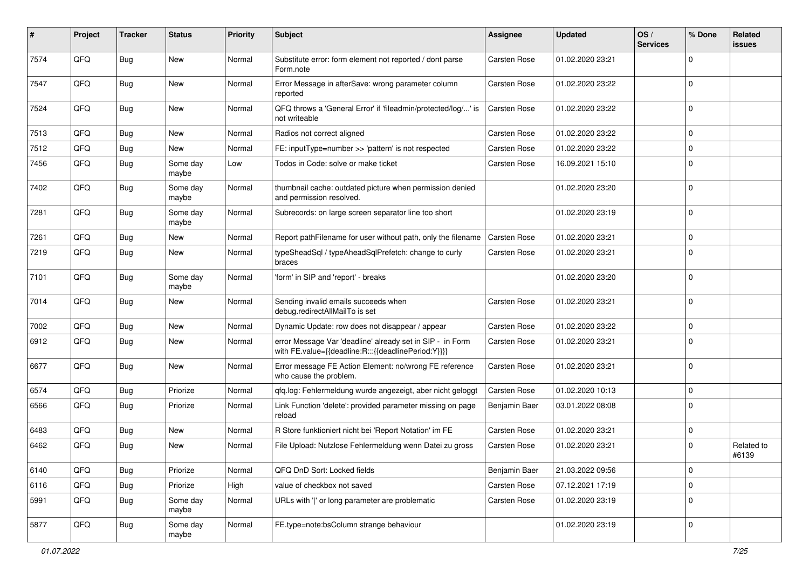| #    | Project | <b>Tracker</b> | <b>Status</b>     | <b>Priority</b> | Subject                                                                                                          | <b>Assignee</b>     | <b>Updated</b>   | OS/<br><b>Services</b> | % Done         | Related<br><b>issues</b> |
|------|---------|----------------|-------------------|-----------------|------------------------------------------------------------------------------------------------------------------|---------------------|------------------|------------------------|----------------|--------------------------|
| 7574 | QFQ     | Bug            | New               | Normal          | Substitute error: form element not reported / dont parse<br>Form.note                                            | Carsten Rose        | 01.02.2020 23:21 |                        | $\Omega$       |                          |
| 7547 | QFQ     | <b>Bug</b>     | New               | Normal          | Error Message in afterSave: wrong parameter column<br>reported                                                   | <b>Carsten Rose</b> | 01.02.2020 23:22 |                        | 0              |                          |
| 7524 | QFQ     | Bug            | <b>New</b>        | Normal          | QFQ throws a 'General Error' if 'fileadmin/protected/log/' is<br>not writeable                                   | Carsten Rose        | 01.02.2020 23:22 |                        | $\Omega$       |                          |
| 7513 | QFQ     | <b>Bug</b>     | <b>New</b>        | Normal          | Radios not correct aligned                                                                                       | Carsten Rose        | 01.02.2020 23:22 |                        | 0              |                          |
| 7512 | QFQ     | Bug            | <b>New</b>        | Normal          | FE: inputType=number >> 'pattern' is not respected                                                               | <b>Carsten Rose</b> | 01.02.2020 23:22 |                        | 0              |                          |
| 7456 | QFQ     | Bug            | Some day<br>maybe | Low             | Todos in Code: solve or make ticket                                                                              | Carsten Rose        | 16.09.2021 15:10 |                        | $\mathbf 0$    |                          |
| 7402 | QFQ     | <b>Bug</b>     | Some day<br>maybe | Normal          | thumbnail cache: outdated picture when permission denied<br>and permission resolved.                             |                     | 01.02.2020 23:20 |                        | $\mathbf 0$    |                          |
| 7281 | QFQ     | Bug            | Some day<br>maybe | Normal          | Subrecords: on large screen separator line too short                                                             |                     | 01.02.2020 23:19 |                        | $\Omega$       |                          |
| 7261 | QFQ     | Bug            | New               | Normal          | Report pathFilename for user without path, only the filename                                                     | <b>Carsten Rose</b> | 01.02.2020 23:21 |                        | 0              |                          |
| 7219 | QFQ     | Bug            | New               | Normal          | typeSheadSql / typeAheadSqlPrefetch: change to curly<br>braces                                                   | Carsten Rose        | 01.02.2020 23:21 |                        | 0              |                          |
| 7101 | QFQ     | Bug            | Some day<br>maybe | Normal          | 'form' in SIP and 'report' - breaks                                                                              |                     | 01.02.2020 23:20 |                        | $\mathbf 0$    |                          |
| 7014 | QFQ     | Bug            | <b>New</b>        | Normal          | Sending invalid emails succeeds when<br>debug.redirectAllMailTo is set                                           | Carsten Rose        | 01.02.2020 23:21 |                        | $\overline{0}$ |                          |
| 7002 | QFQ     | Bug            | New               | Normal          | Dynamic Update: row does not disappear / appear                                                                  | Carsten Rose        | 01.02.2020 23:22 |                        | 0              |                          |
| 6912 | QFQ     | Bug            | New               | Normal          | error Message Var 'deadline' already set in SIP - in Form<br>with FE.value={{deadline:R:::{{deadlinePeriod:Y}}}} | Carsten Rose        | 01.02.2020 23:21 |                        | $\Omega$       |                          |
| 6677 | QFQ     | Bug            | New               | Normal          | Error message FE Action Element: no/wrong FE reference<br>who cause the problem.                                 | Carsten Rose        | 01.02.2020 23:21 |                        | $\Omega$       |                          |
| 6574 | QFQ     | <b>Bug</b>     | Priorize          | Normal          | qfq.log: Fehlermeldung wurde angezeigt, aber nicht geloggt                                                       | Carsten Rose        | 01.02.2020 10:13 |                        | $\Omega$       |                          |
| 6566 | QFQ     | <b>Bug</b>     | Priorize          | Normal          | Link Function 'delete': provided parameter missing on page<br>reload                                             | Benjamin Baer       | 03.01.2022 08:08 |                        | $\mathbf 0$    |                          |
| 6483 | QFQ     | Bug            | New               | Normal          | R Store funktioniert nicht bei 'Report Notation' im FE                                                           | Carsten Rose        | 01.02.2020 23:21 |                        | 0              |                          |
| 6462 | QFQ     | <b>Bug</b>     | New               | Normal          | File Upload: Nutzlose Fehlermeldung wenn Datei zu gross                                                          | Carsten Rose        | 01.02.2020 23:21 |                        | $\Omega$       | Related to<br>#6139      |
| 6140 | QFQ     | <b>Bug</b>     | Priorize          | Normal          | QFQ DnD Sort: Locked fields                                                                                      | Benjamin Baer       | 21.03.2022 09:56 |                        | $\mathbf 0$    |                          |
| 6116 | QFQ     | Bug            | Priorize          | High            | value of checkbox not saved                                                                                      | Carsten Rose        | 07.12.2021 17:19 |                        | $\mathbf 0$    |                          |
| 5991 | QFQ     | <b>Bug</b>     | Some day<br>maybe | Normal          | URLs with ' ' or long parameter are problematic                                                                  | Carsten Rose        | 01.02.2020 23:19 |                        | $\mathbf 0$    |                          |
| 5877 | QFQ     | Bug            | Some day<br>maybe | Normal          | FE.type=note:bsColumn strange behaviour                                                                          |                     | 01.02.2020 23:19 |                        | $\overline{0}$ |                          |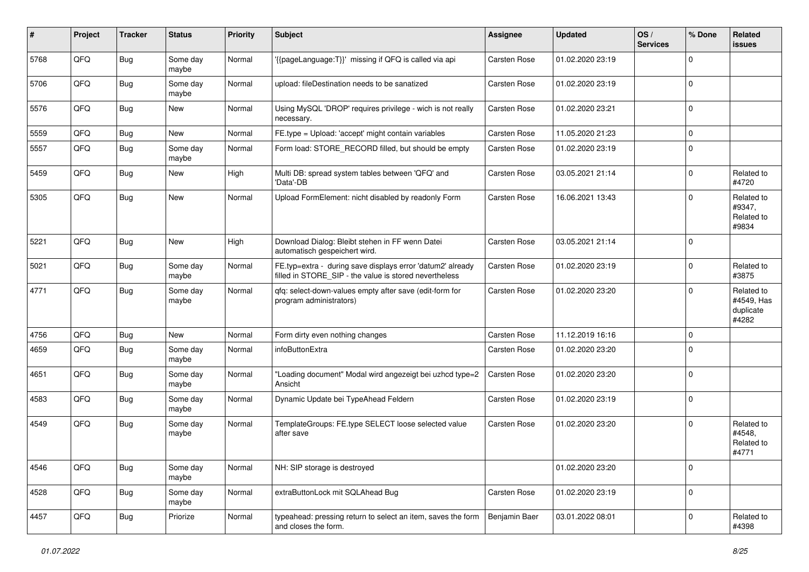| #    | Project | <b>Tracker</b> | <b>Status</b>     | <b>Priority</b> | Subject                                                                                                              | Assignee            | <b>Updated</b>   | OS/<br><b>Services</b> | % Done      | Related<br><b>issues</b>                       |
|------|---------|----------------|-------------------|-----------------|----------------------------------------------------------------------------------------------------------------------|---------------------|------------------|------------------------|-------------|------------------------------------------------|
| 5768 | QFQ     | <b>Bug</b>     | Some day<br>maybe | Normal          | '{{pageLanguage:T}}' missing if QFQ is called via api                                                                | <b>Carsten Rose</b> | 01.02.2020 23:19 |                        | $\mathbf 0$ |                                                |
| 5706 | QFQ     | Bug            | Some day<br>maybe | Normal          | upload: fileDestination needs to be sanatized                                                                        | <b>Carsten Rose</b> | 01.02.2020 23:19 |                        | $\mathbf 0$ |                                                |
| 5576 | QFQ     | Bug            | New               | Normal          | Using MySQL 'DROP' requires privilege - wich is not really<br>necessary.                                             | <b>Carsten Rose</b> | 01.02.2020 23:21 |                        | $\mathbf 0$ |                                                |
| 5559 | QFQ     | Bug            | <b>New</b>        | Normal          | FE.type = Upload: 'accept' might contain variables                                                                   | <b>Carsten Rose</b> | 11.05.2020 21:23 |                        | $\mathbf 0$ |                                                |
| 5557 | QFQ     | <b>Bug</b>     | Some day<br>maybe | Normal          | Form load: STORE RECORD filled, but should be empty                                                                  | Carsten Rose        | 01.02.2020 23:19 |                        | $\mathbf 0$ |                                                |
| 5459 | QFQ     | Bug            | <b>New</b>        | High            | Multi DB: spread system tables between 'QFQ' and<br>'Data'-DB                                                        | Carsten Rose        | 03.05.2021 21:14 |                        | $\mathbf 0$ | Related to<br>#4720                            |
| 5305 | QFQ     | Bug            | New               | Normal          | Upload FormElement: nicht disabled by readonly Form                                                                  | <b>Carsten Rose</b> | 16.06.2021 13:43 |                        | $\mathbf 0$ | Related to<br>#9347,<br>Related to<br>#9834    |
| 5221 | QFQ     | <b>Bug</b>     | <b>New</b>        | High            | Download Dialog: Bleibt stehen in FF wenn Datei<br>automatisch gespeichert wird.                                     | <b>Carsten Rose</b> | 03.05.2021 21:14 |                        | $\mathbf 0$ |                                                |
| 5021 | QFQ     | <b>Bug</b>     | Some day<br>maybe | Normal          | FE.typ=extra - during save displays error 'datum2' already<br>filled in STORE_SIP - the value is stored nevertheless | Carsten Rose        | 01.02.2020 23:19 |                        | $\mathbf 0$ | Related to<br>#3875                            |
| 4771 | QFQ     | <b>Bug</b>     | Some day<br>maybe | Normal          | qfq: select-down-values empty after save (edit-form for<br>program administrators)                                   | <b>Carsten Rose</b> | 01.02.2020 23:20 |                        | $\mathbf 0$ | Related to<br>#4549, Has<br>duplicate<br>#4282 |
| 4756 | QFQ     | Bug            | New               | Normal          | Form dirty even nothing changes                                                                                      | <b>Carsten Rose</b> | 11.12.2019 16:16 |                        | $\mathbf 0$ |                                                |
| 4659 | QFQ     | <b>Bug</b>     | Some day<br>maybe | Normal          | infoButtonExtra                                                                                                      | Carsten Rose        | 01.02.2020 23:20 |                        | $\Omega$    |                                                |
| 4651 | QFQ     | Bug            | Some day<br>maybe | Normal          | "Loading document" Modal wird angezeigt bei uzhcd type=2<br>Ansicht                                                  | Carsten Rose        | 01.02.2020 23:20 |                        | $\mathbf 0$ |                                                |
| 4583 | QFQ     | <b>Bug</b>     | Some day<br>maybe | Normal          | Dynamic Update bei TypeAhead Feldern                                                                                 | <b>Carsten Rose</b> | 01.02.2020 23:19 |                        | $\mathbf 0$ |                                                |
| 4549 | QFQ     | Bug            | Some day<br>maybe | Normal          | TemplateGroups: FE.type SELECT loose selected value<br>after save                                                    | <b>Carsten Rose</b> | 01.02.2020 23:20 |                        | $\mathbf 0$ | Related to<br>#4548,<br>Related to<br>#4771    |
| 4546 | QFQ     | <b>Bug</b>     | Some day<br>maybe | Normal          | NH: SIP storage is destroyed                                                                                         |                     | 01.02.2020 23:20 |                        | $\pmb{0}$   |                                                |
| 4528 | QFQ     | <b>Bug</b>     | Some day<br>maybe | Normal          | extraButtonLock mit SQLAhead Bug                                                                                     | Carsten Rose        | 01.02.2020 23:19 |                        | $\pmb{0}$   |                                                |
| 4457 | QFQ     | Bug            | Priorize          | Normal          | typeahead: pressing return to select an item, saves the form<br>and closes the form.                                 | Benjamin Baer       | 03.01.2022 08:01 |                        | $\mathbf 0$ | Related to<br>#4398                            |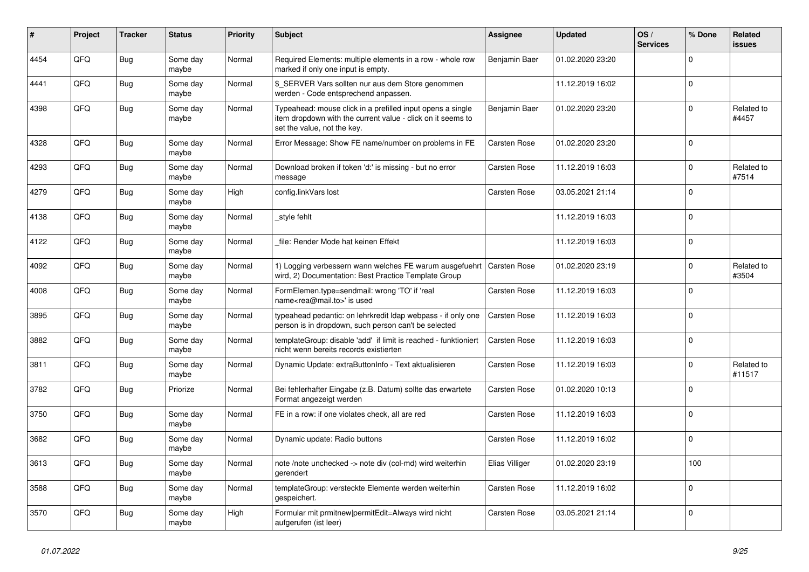| #    | Project | <b>Tracker</b> | <b>Status</b>     | <b>Priority</b> | <b>Subject</b>                                                                                                                                           | Assignee            | <b>Updated</b>   | OS/<br><b>Services</b> | % Done      | Related<br><b>issues</b> |
|------|---------|----------------|-------------------|-----------------|----------------------------------------------------------------------------------------------------------------------------------------------------------|---------------------|------------------|------------------------|-------------|--------------------------|
| 4454 | QFQ     | <b>Bug</b>     | Some day<br>maybe | Normal          | Required Elements: multiple elements in a row - whole row<br>marked if only one input is empty.                                                          | Benjamin Baer       | 01.02.2020 23:20 |                        | $\Omega$    |                          |
| 4441 | QFQ     | <b>Bug</b>     | Some day<br>maybe | Normal          | \$_SERVER Vars sollten nur aus dem Store genommen<br>werden - Code entsprechend anpassen.                                                                |                     | 11.12.2019 16:02 |                        | $\mathbf 0$ |                          |
| 4398 | QFQ     | Bug            | Some day<br>maybe | Normal          | Typeahead: mouse click in a prefilled input opens a single<br>item dropdown with the current value - click on it seems to<br>set the value, not the key. | Benjamin Baer       | 01.02.2020 23:20 |                        | $\Omega$    | Related to<br>#4457      |
| 4328 | QFQ     | <b>Bug</b>     | Some day<br>maybe | Normal          | Error Message: Show FE name/number on problems in FE                                                                                                     | <b>Carsten Rose</b> | 01.02.2020 23:20 |                        | $\Omega$    |                          |
| 4293 | QFQ     | Bug            | Some day<br>maybe | Normal          | Download broken if token 'd:' is missing - but no error<br>message                                                                                       | Carsten Rose        | 11.12.2019 16:03 |                        | $\Omega$    | Related to<br>#7514      |
| 4279 | QFQ     | <b>Bug</b>     | Some day<br>maybe | High            | config.linkVars lost                                                                                                                                     | <b>Carsten Rose</b> | 03.05.2021 21:14 |                        | $\Omega$    |                          |
| 4138 | QFQ     | <b>Bug</b>     | Some day<br>maybe | Normal          | _style fehlt                                                                                                                                             |                     | 11.12.2019 16:03 |                        | $\mathbf 0$ |                          |
| 4122 | QFQ     | Bug            | Some day<br>maybe | Normal          | file: Render Mode hat keinen Effekt                                                                                                                      |                     | 11.12.2019 16:03 |                        | $\mathbf 0$ |                          |
| 4092 | QFQ     | Bug            | Some day<br>maybe | Normal          | 1) Logging verbessern wann welches FE warum ausgefuehrt   Carsten Rose<br>wird, 2) Documentation: Best Practice Template Group                           |                     | 01.02.2020 23:19 |                        | $\mathbf 0$ | Related to<br>#3504      |
| 4008 | QFQ     | <b>Bug</b>     | Some day<br>maybe | Normal          | FormElemen.type=sendmail: wrong 'TO' if 'real<br>name <rea@mail.to>' is used</rea@mail.to>                                                               | Carsten Rose        | 11.12.2019 16:03 |                        | $\Omega$    |                          |
| 3895 | QFQ     | <b>Bug</b>     | Some day<br>maybe | Normal          | typeahead pedantic: on lehrkredit Idap webpass - if only one<br>person is in dropdown, such person can't be selected                                     | <b>Carsten Rose</b> | 11.12.2019 16:03 |                        | $\mathbf 0$ |                          |
| 3882 | QFQ     | <b>Bug</b>     | Some day<br>maybe | Normal          | templateGroup: disable 'add' if limit is reached - funktioniert<br>nicht wenn bereits records existierten                                                | <b>Carsten Rose</b> | 11.12.2019 16:03 |                        | $\Omega$    |                          |
| 3811 | QFQ     | <b>Bug</b>     | Some day<br>maybe | Normal          | Dynamic Update: extraButtonInfo - Text aktualisieren                                                                                                     | <b>Carsten Rose</b> | 11.12.2019 16:03 |                        | $\mathbf 0$ | Related to<br>#11517     |
| 3782 | QFQ     | Bug            | Priorize          | Normal          | Bei fehlerhafter Eingabe (z.B. Datum) sollte das erwartete<br>Format angezeigt werden                                                                    | Carsten Rose        | 01.02.2020 10:13 |                        | $\mathbf 0$ |                          |
| 3750 | QFQ     | <b>Bug</b>     | Some day<br>maybe | Normal          | FE in a row: if one violates check, all are red                                                                                                          | Carsten Rose        | 11.12.2019 16:03 |                        | $\mathbf 0$ |                          |
| 3682 | QFQ     | <b>Bug</b>     | Some day<br>maybe | Normal          | Dynamic update: Radio buttons                                                                                                                            | <b>Carsten Rose</b> | 11.12.2019 16:02 |                        | $\mathbf 0$ |                          |
| 3613 | QFQ     | <b>Bug</b>     | Some day<br>maybe | Normal          | note /note unchecked -> note div (col-md) wird weiterhin<br>gerendert                                                                                    | Elias Villiger      | 01.02.2020 23:19 |                        | 100         |                          |
| 3588 | QFQ     | <b>Bug</b>     | Some day<br>maybe | Normal          | templateGroup: versteckte Elemente werden weiterhin<br>gespeichert.                                                                                      | Carsten Rose        | 11.12.2019 16:02 |                        | $\Omega$    |                          |
| 3570 | QFQ     | <b>Bug</b>     | Some day<br>maybe | High            | Formular mit prmitnew permitEdit=Always wird nicht<br>aufgerufen (ist leer)                                                                              | <b>Carsten Rose</b> | 03.05.2021 21:14 |                        | $\mathbf 0$ |                          |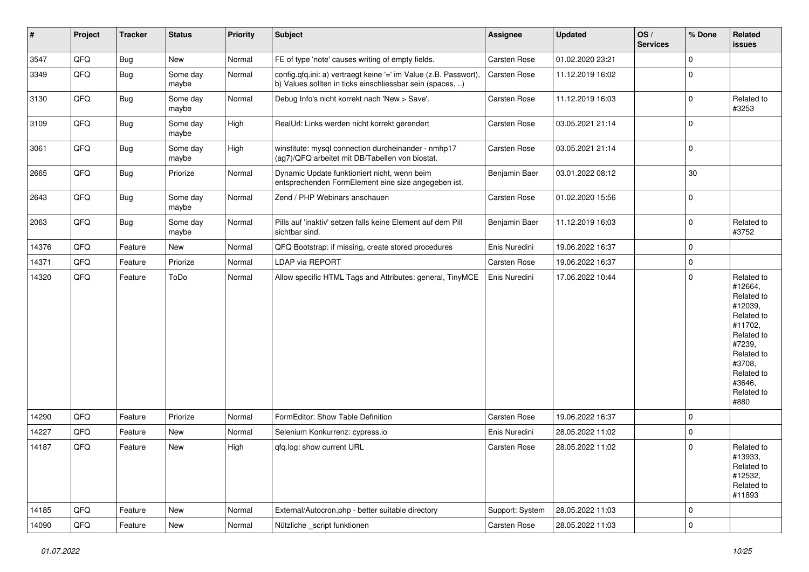| #     | Project | <b>Tracker</b> | <b>Status</b>     | <b>Priority</b> | Subject                                                                                                                       | Assignee            | <b>Updated</b>   | OS/<br><b>Services</b> | % Done      | Related<br><b>issues</b>                                                                                                                                              |
|-------|---------|----------------|-------------------|-----------------|-------------------------------------------------------------------------------------------------------------------------------|---------------------|------------------|------------------------|-------------|-----------------------------------------------------------------------------------------------------------------------------------------------------------------------|
| 3547  | QFQ     | Bug            | <b>New</b>        | Normal          | FE of type 'note' causes writing of empty fields.                                                                             | Carsten Rose        | 01.02.2020 23:21 |                        | $\mathbf 0$ |                                                                                                                                                                       |
| 3349  | QFQ     | Bug            | Some day<br>maybe | Normal          | config.qfq.ini: a) vertraegt keine '=' im Value (z.B. Passwort),<br>b) Values sollten in ticks einschliessbar sein (spaces, ) | Carsten Rose        | 11.12.2019 16:02 |                        | $\mathbf 0$ |                                                                                                                                                                       |
| 3130  | QFQ     | Bug            | Some day<br>maybe | Normal          | Debug Info's nicht korrekt nach 'New > Save'.                                                                                 | <b>Carsten Rose</b> | 11.12.2019 16:03 |                        | $\mathbf 0$ | Related to<br>#3253                                                                                                                                                   |
| 3109  | QFQ     | <b>Bug</b>     | Some day<br>maybe | High            | RealUrl: Links werden nicht korrekt gerendert                                                                                 | Carsten Rose        | 03.05.2021 21:14 |                        | $\pmb{0}$   |                                                                                                                                                                       |
| 3061  | QFQ     | <b>Bug</b>     | Some day<br>maybe | High            | winstitute: mysql connection durcheinander - nmhp17<br>(ag7)/QFQ arbeitet mit DB/Tabellen von biostat.                        | <b>Carsten Rose</b> | 03.05.2021 21:14 |                        | $\mathbf 0$ |                                                                                                                                                                       |
| 2665  | QFQ     | <b>Bug</b>     | Priorize          | Normal          | Dynamic Update funktioniert nicht, wenn beim<br>entsprechenden FormElement eine size angegeben ist.                           | Benjamin Baer       | 03.01.2022 08:12 |                        | 30          |                                                                                                                                                                       |
| 2643  | QFQ     | <b>Bug</b>     | Some day<br>maybe | Normal          | Zend / PHP Webinars anschauen                                                                                                 | <b>Carsten Rose</b> | 01.02.2020 15:56 |                        | $\mathbf 0$ |                                                                                                                                                                       |
| 2063  | QFQ     | <b>Bug</b>     | Some day<br>maybe | Normal          | Pills auf 'inaktiv' setzen falls keine Element auf dem Pill<br>sichtbar sind.                                                 | Benjamin Baer       | 11.12.2019 16:03 |                        | $\mathbf 0$ | Related to<br>#3752                                                                                                                                                   |
| 14376 | QFQ     | Feature        | New               | Normal          | QFQ Bootstrap: if missing, create stored procedures                                                                           | Enis Nuredini       | 19.06.2022 16:37 |                        | $\mathbf 0$ |                                                                                                                                                                       |
| 14371 | QFQ     | Feature        | Priorize          | Normal          | LDAP via REPORT                                                                                                               | Carsten Rose        | 19.06.2022 16:37 |                        | $\mathbf 0$ |                                                                                                                                                                       |
| 14320 | QFQ     | Feature        | ToDo              | Normal          | Allow specific HTML Tags and Attributes: general, TinyMCE                                                                     | Enis Nuredini       | 17.06.2022 10:44 |                        | $\mathbf 0$ | Related to<br>#12664,<br>Related to<br>#12039,<br>Related to<br>#11702,<br>Related to<br>#7239,<br>Related to<br>#3708,<br>Related to<br>#3646,<br>Related to<br>#880 |
| 14290 | QFQ     | Feature        | Priorize          | Normal          | FormEditor: Show Table Definition                                                                                             | <b>Carsten Rose</b> | 19.06.2022 16:37 |                        | $\mathbf 0$ |                                                                                                                                                                       |
| 14227 | QFQ     | Feature        | New               | Normal          | Selenium Konkurrenz: cypress.io                                                                                               | Enis Nuredini       | 28.05.2022 11:02 |                        | $\mathbf 0$ |                                                                                                                                                                       |
| 14187 | QFQ     | Feature        | <b>New</b>        | High            | qfq.log: show current URL                                                                                                     | Carsten Rose        | 28.05.2022 11:02 |                        | $\mathbf 0$ | Related to<br>#13933,<br>Related to<br>#12532,<br>Related to<br>#11893                                                                                                |
| 14185 | QFQ     | Feature        | New               | Normal          | External/Autocron.php - better suitable directory                                                                             | Support: System     | 28.05.2022 11:03 |                        | $\mathbf 0$ |                                                                                                                                                                       |
| 14090 | QFQ     | Feature        | New               | Normal          | Nützliche _script funktionen                                                                                                  | Carsten Rose        | 28.05.2022 11:03 |                        | $\pmb{0}$   |                                                                                                                                                                       |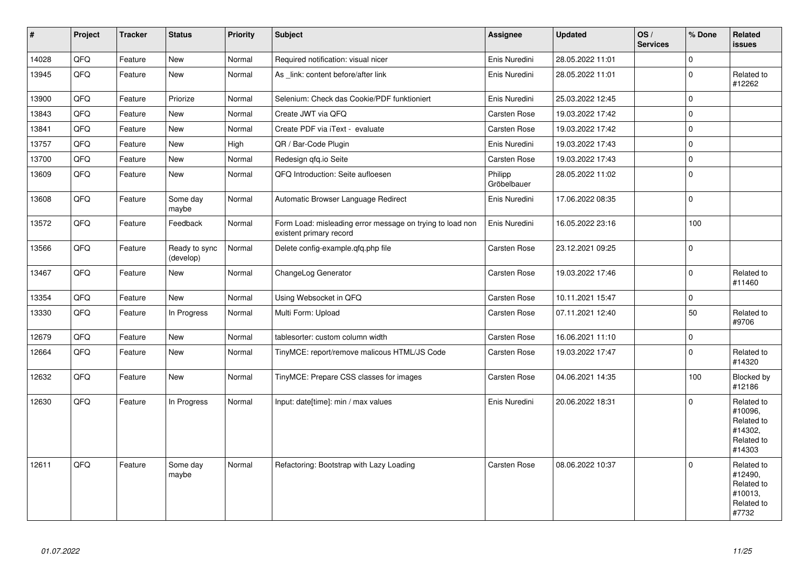| $\vert$ # | Project | <b>Tracker</b> | <b>Status</b>              | <b>Priority</b> | <b>Subject</b>                                                                       | Assignee               | <b>Updated</b>   | OS/<br><b>Services</b> | % Done      | Related<br><b>issues</b>                                               |
|-----------|---------|----------------|----------------------------|-----------------|--------------------------------------------------------------------------------------|------------------------|------------------|------------------------|-------------|------------------------------------------------------------------------|
| 14028     | QFQ     | Feature        | <b>New</b>                 | Normal          | Required notification: visual nicer                                                  | Enis Nuredini          | 28.05.2022 11:01 |                        | $\mathbf 0$ |                                                                        |
| 13945     | QFQ     | Feature        | <b>New</b>                 | Normal          | As _link: content before/after link                                                  | Enis Nuredini          | 28.05.2022 11:01 |                        | $\mathbf 0$ | Related to<br>#12262                                                   |
| 13900     | QFQ     | Feature        | Priorize                   | Normal          | Selenium: Check das Cookie/PDF funktioniert                                          | Enis Nuredini          | 25.03.2022 12:45 |                        | $\mathbf 0$ |                                                                        |
| 13843     | QFQ     | Feature        | <b>New</b>                 | Normal          | Create JWT via QFQ                                                                   | Carsten Rose           | 19.03.2022 17:42 |                        | $\mathbf 0$ |                                                                        |
| 13841     | QFQ     | Feature        | <b>New</b>                 | Normal          | Create PDF via iText - evaluate                                                      | <b>Carsten Rose</b>    | 19.03.2022 17:42 |                        | $\mathbf 0$ |                                                                        |
| 13757     | QFQ     | Feature        | <b>New</b>                 | High            | QR / Bar-Code Plugin                                                                 | Enis Nuredini          | 19.03.2022 17:43 |                        | $\mathbf 0$ |                                                                        |
| 13700     | QFQ     | Feature        | New                        | Normal          | Redesign gfg.io Seite                                                                | Carsten Rose           | 19.03.2022 17:43 |                        | $\pmb{0}$   |                                                                        |
| 13609     | QFQ     | Feature        | <b>New</b>                 | Normal          | QFQ Introduction: Seite aufloesen                                                    | Philipp<br>Gröbelbauer | 28.05.2022 11:02 |                        | $\mathbf 0$ |                                                                        |
| 13608     | QFQ     | Feature        | Some day<br>maybe          | Normal          | Automatic Browser Language Redirect                                                  | Enis Nuredini          | 17.06.2022 08:35 |                        | $\mathbf 0$ |                                                                        |
| 13572     | QFQ     | Feature        | Feedback                   | Normal          | Form Load: misleading error message on trying to load non<br>existent primary record | Enis Nuredini          | 16.05.2022 23:16 |                        | 100         |                                                                        |
| 13566     | QFQ     | Feature        | Ready to sync<br>(develop) | Normal          | Delete config-example.qfq.php file                                                   | <b>Carsten Rose</b>    | 23.12.2021 09:25 |                        | $\mathbf 0$ |                                                                        |
| 13467     | QFQ     | Feature        | <b>New</b>                 | Normal          | ChangeLog Generator                                                                  | <b>Carsten Rose</b>    | 19.03.2022 17:46 |                        | $\mathbf 0$ | Related to<br>#11460                                                   |
| 13354     | QFQ     | Feature        | <b>New</b>                 | Normal          | Using Websocket in QFQ                                                               | Carsten Rose           | 10.11.2021 15:47 |                        | $\mathbf 0$ |                                                                        |
| 13330     | QFQ     | Feature        | In Progress                | Normal          | Multi Form: Upload                                                                   | Carsten Rose           | 07.11.2021 12:40 |                        | 50          | Related to<br>#9706                                                    |
| 12679     | QFQ     | Feature        | <b>New</b>                 | Normal          | tablesorter: custom column width                                                     | <b>Carsten Rose</b>    | 16.06.2021 11:10 |                        | $\mathbf 0$ |                                                                        |
| 12664     | QFQ     | Feature        | New                        | Normal          | TinyMCE: report/remove malicous HTML/JS Code                                         | Carsten Rose           | 19.03.2022 17:47 |                        | $\mathbf 0$ | Related to<br>#14320                                                   |
| 12632     | QFQ     | Feature        | <b>New</b>                 | Normal          | TinyMCE: Prepare CSS classes for images                                              | Carsten Rose           | 04.06.2021 14:35 |                        | 100         | Blocked by<br>#12186                                                   |
| 12630     | QFQ     | Feature        | In Progress                | Normal          | Input: date[time]: min / max values                                                  | Enis Nuredini          | 20.06.2022 18:31 |                        | $\mathbf 0$ | Related to<br>#10096,<br>Related to<br>#14302,<br>Related to<br>#14303 |
| 12611     | QFQ     | Feature        | Some day<br>maybe          | Normal          | Refactoring: Bootstrap with Lazy Loading                                             | <b>Carsten Rose</b>    | 08.06.2022 10:37 |                        | $\mathbf 0$ | Related to<br>#12490,<br>Related to<br>#10013,<br>Related to<br>#7732  |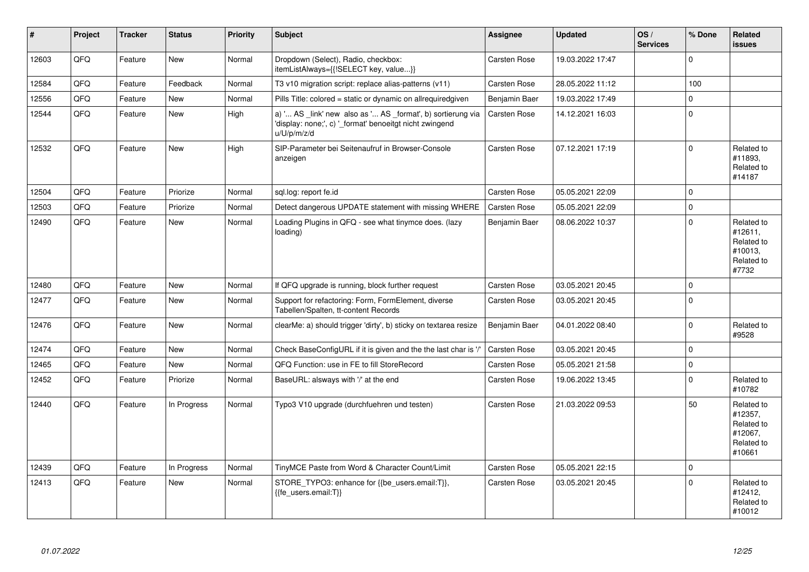| $\vert$ # | Project | <b>Tracker</b> | <b>Status</b> | <b>Priority</b> | <b>Subject</b>                                                                                                                        | <b>Assignee</b>     | <b>Updated</b>   | OS/<br><b>Services</b> | % Done      | Related<br>issues                                                      |
|-----------|---------|----------------|---------------|-----------------|---------------------------------------------------------------------------------------------------------------------------------------|---------------------|------------------|------------------------|-------------|------------------------------------------------------------------------|
| 12603     | QFQ     | Feature        | <b>New</b>    | Normal          | Dropdown (Select), Radio, checkbox:<br>itemListAlways={{!SELECT key, value}}                                                          | Carsten Rose        | 19.03.2022 17:47 |                        | $\mathbf 0$ |                                                                        |
| 12584     | QFQ     | Feature        | Feedback      | Normal          | T3 v10 migration script: replace alias-patterns (v11)                                                                                 | Carsten Rose        | 28.05.2022 11:12 |                        | 100         |                                                                        |
| 12556     | QFQ     | Feature        | New           | Normal          | Pills Title: colored = static or dynamic on allrequiredgiven                                                                          | Benjamin Baer       | 19.03.2022 17:49 |                        | $\pmb{0}$   |                                                                        |
| 12544     | QFQ     | Feature        | <b>New</b>    | High            | a) ' AS _link' new also as ' AS _format', b) sortierung via<br>'display: none;', c) '_format' benoeitgt nicht zwingend<br>u/U/p/m/z/d | <b>Carsten Rose</b> | 14.12.2021 16:03 |                        | $\mathbf 0$ |                                                                        |
| 12532     | QFQ     | Feature        | New           | High            | SIP-Parameter bei Seitenaufruf in Browser-Console<br>anzeigen                                                                         | <b>Carsten Rose</b> | 07.12.2021 17:19 |                        | $\pmb{0}$   | Related to<br>#11893,<br>Related to<br>#14187                          |
| 12504     | QFQ     | Feature        | Priorize      | Normal          | sql.log: report fe.id                                                                                                                 | Carsten Rose        | 05.05.2021 22:09 |                        | $\Omega$    |                                                                        |
| 12503     | QFQ     | Feature        | Priorize      | Normal          | Detect dangerous UPDATE statement with missing WHERE                                                                                  | Carsten Rose        | 05.05.2021 22:09 |                        | $\mathbf 0$ |                                                                        |
| 12490     | QFQ     | Feature        | <b>New</b>    | Normal          | Loading Plugins in QFQ - see what tinymce does. (lazy<br>loading)                                                                     | Benjamin Baer       | 08.06.2022 10:37 |                        | $\Omega$    | Related to<br>#12611,<br>Related to<br>#10013,<br>Related to<br>#7732  |
| 12480     | QFQ     | Feature        | <b>New</b>    | Normal          | If QFQ upgrade is running, block further request                                                                                      | Carsten Rose        | 03.05.2021 20:45 |                        | $\mathbf 0$ |                                                                        |
| 12477     | QFQ     | Feature        | <b>New</b>    | Normal          | Support for refactoring: Form, FormElement, diverse<br>Tabellen/Spalten, tt-content Records                                           | Carsten Rose        | 03.05.2021 20:45 |                        | $\Omega$    |                                                                        |
| 12476     | QFQ     | Feature        | <b>New</b>    | Normal          | clearMe: a) should trigger 'dirty', b) sticky on textarea resize                                                                      | Benjamin Baer       | 04.01.2022 08:40 |                        | $\pmb{0}$   | Related to<br>#9528                                                    |
| 12474     | QFQ     | Feature        | <b>New</b>    | Normal          | Check BaseConfigURL if it is given and the the last char is '/'                                                                       | Carsten Rose        | 03.05.2021 20:45 |                        | $\mathbf 0$ |                                                                        |
| 12465     | QFQ     | Feature        | <b>New</b>    | Normal          | QFQ Function: use in FE to fill StoreRecord                                                                                           | <b>Carsten Rose</b> | 05.05.2021 21:58 |                        | $\mathbf 0$ |                                                                        |
| 12452     | QFQ     | Feature        | Priorize      | Normal          | BaseURL: alsways with '/' at the end                                                                                                  | Carsten Rose        | 19.06.2022 13:45 |                        | $\Omega$    | Related to<br>#10782                                                   |
| 12440     | QFQ     | Feature        | In Progress   | Normal          | Typo3 V10 upgrade (durchfuehren und testen)                                                                                           | <b>Carsten Rose</b> | 21.03.2022 09:53 |                        | 50          | Related to<br>#12357,<br>Related to<br>#12067.<br>Related to<br>#10661 |
| 12439     | QFQ     | Feature        | In Progress   | Normal          | TinyMCE Paste from Word & Character Count/Limit                                                                                       | Carsten Rose        | 05.05.2021 22:15 |                        | $\pmb{0}$   |                                                                        |
| 12413     | QFQ     | Feature        | <b>New</b>    | Normal          | STORE_TYPO3: enhance for {{be_users.email:T}},<br>{{fe_users.email:T}}                                                                | <b>Carsten Rose</b> | 03.05.2021 20:45 |                        | $\Omega$    | Related to<br>#12412.<br>Related to<br>#10012                          |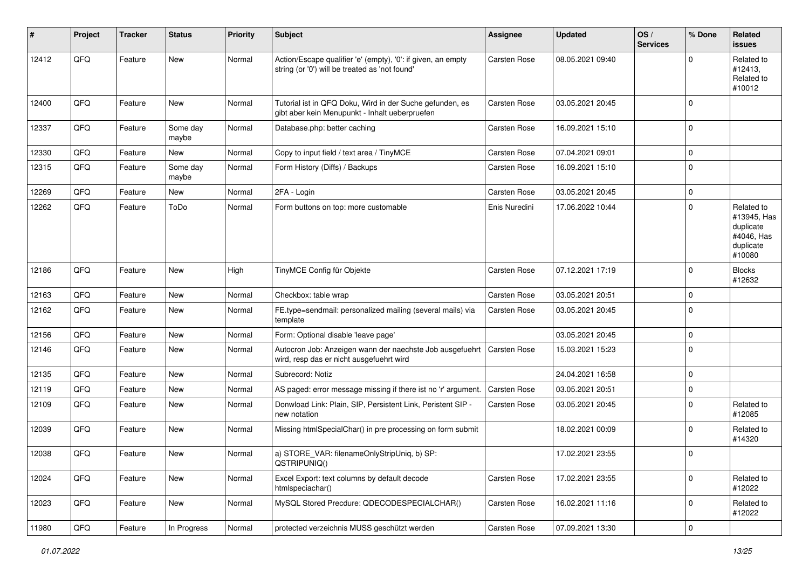| ∦     | Project | <b>Tracker</b> | <b>Status</b>     | <b>Priority</b> | <b>Subject</b>                                                                                                 | Assignee            | <b>Updated</b>   | OS/<br><b>Services</b> | % Done      | Related<br><b>issues</b>                                                    |
|-------|---------|----------------|-------------------|-----------------|----------------------------------------------------------------------------------------------------------------|---------------------|------------------|------------------------|-------------|-----------------------------------------------------------------------------|
| 12412 | QFQ     | Feature        | New               | Normal          | Action/Escape qualifier 'e' (empty), '0': if given, an empty<br>string (or '0') will be treated as 'not found' | Carsten Rose        | 08.05.2021 09:40 |                        | $\Omega$    | Related to<br>#12413,<br>Related to<br>#10012                               |
| 12400 | QFQ     | Feature        | New               | Normal          | Tutorial ist in QFQ Doku, Wird in der Suche gefunden, es<br>gibt aber kein Menupunkt - Inhalt ueberpruefen     | Carsten Rose        | 03.05.2021 20:45 |                        | $\mathbf 0$ |                                                                             |
| 12337 | QFQ     | Feature        | Some day<br>maybe | Normal          | Database.php: better caching                                                                                   | <b>Carsten Rose</b> | 16.09.2021 15:10 |                        | $\mathbf 0$ |                                                                             |
| 12330 | QFQ     | Feature        | <b>New</b>        | Normal          | Copy to input field / text area / TinyMCE                                                                      | <b>Carsten Rose</b> | 07.04.2021 09:01 |                        | $\mathbf 0$ |                                                                             |
| 12315 | QFQ     | Feature        | Some day<br>maybe | Normal          | Form History (Diffs) / Backups                                                                                 | <b>Carsten Rose</b> | 16.09.2021 15:10 |                        | $\mathbf 0$ |                                                                             |
| 12269 | QFQ     | Feature        | New               | Normal          | 2FA - Login                                                                                                    | <b>Carsten Rose</b> | 03.05.2021 20:45 |                        | $\mathbf 0$ |                                                                             |
| 12262 | QFQ     | Feature        | ToDo              | Normal          | Form buttons on top: more customable                                                                           | Enis Nuredini       | 17.06.2022 10:44 |                        | $\mathbf 0$ | Related to<br>#13945, Has<br>duplicate<br>#4046, Has<br>duplicate<br>#10080 |
| 12186 | QFQ     | Feature        | <b>New</b>        | High            | TinyMCE Config für Objekte                                                                                     | Carsten Rose        | 07.12.2021 17:19 |                        | $\mathbf 0$ | <b>Blocks</b><br>#12632                                                     |
| 12163 | QFQ     | Feature        | <b>New</b>        | Normal          | Checkbox: table wrap                                                                                           | Carsten Rose        | 03.05.2021 20:51 |                        | $\mathbf 0$ |                                                                             |
| 12162 | QFQ     | Feature        | New               | Normal          | FE.type=sendmail: personalized mailing (several mails) via<br>template                                         | <b>Carsten Rose</b> | 03.05.2021 20:45 |                        | $\Omega$    |                                                                             |
| 12156 | QFQ     | Feature        | <b>New</b>        | Normal          | Form: Optional disable 'leave page'                                                                            |                     | 03.05.2021 20:45 |                        | $\mathbf 0$ |                                                                             |
| 12146 | QFQ     | Feature        | <b>New</b>        | Normal          | Autocron Job: Anzeigen wann der naechste Job ausgefuehrt<br>wird, resp das er nicht ausgefuehrt wird           | <b>Carsten Rose</b> | 15.03.2021 15:23 |                        | $\mathbf 0$ |                                                                             |
| 12135 | QFQ     | Feature        | New               | Normal          | Subrecord: Notiz                                                                                               |                     | 24.04.2021 16:58 |                        | $\pmb{0}$   |                                                                             |
| 12119 | QFQ     | Feature        | <b>New</b>        | Normal          | AS paged: error message missing if there ist no 'r' argument.                                                  | <b>Carsten Rose</b> | 03.05.2021 20:51 |                        | $\mathbf 0$ |                                                                             |
| 12109 | QFQ     | Feature        | <b>New</b>        | Normal          | Donwload Link: Plain, SIP, Persistent Link, Peristent SIP -<br>new notation                                    | <b>Carsten Rose</b> | 03.05.2021 20:45 |                        | $\mathbf 0$ | Related to<br>#12085                                                        |
| 12039 | QFQ     | Feature        | New               | Normal          | Missing htmlSpecialChar() in pre processing on form submit                                                     |                     | 18.02.2021 00:09 |                        | $\mathbf 0$ | Related to<br>#14320                                                        |
| 12038 | QFQ     | Feature        | <b>New</b>        | Normal          | a) STORE VAR: filenameOnlyStripUniq, b) SP:<br>QSTRIPUNIQ()                                                    |                     | 17.02.2021 23:55 |                        | $\mathbf 0$ |                                                                             |
| 12024 | QFG     | Feature        | New               | Normal          | Excel Export: text columns by default decode<br>htmlspeciachar()                                               | Carsten Rose        | 17.02.2021 23:55 |                        | $\mathbf 0$ | Related to<br>#12022                                                        |
| 12023 | QFQ     | Feature        | New               | Normal          | MySQL Stored Precdure: QDECODESPECIALCHAR()                                                                    | Carsten Rose        | 16.02.2021 11:16 |                        | $\mathbf 0$ | Related to<br>#12022                                                        |
| 11980 | QFQ     | Feature        | In Progress       | Normal          | protected verzeichnis MUSS geschützt werden                                                                    | Carsten Rose        | 07.09.2021 13:30 |                        | $\pmb{0}$   |                                                                             |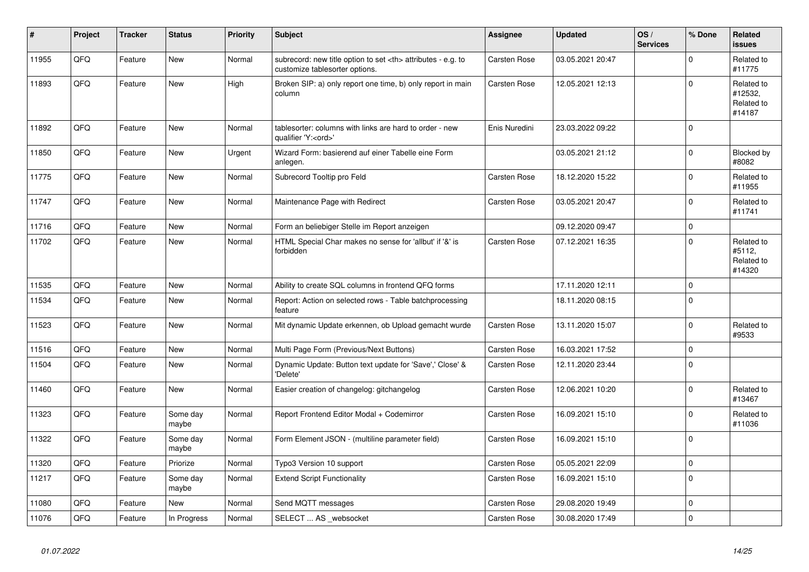| #     | Project | <b>Tracker</b> | <b>Status</b>     | <b>Priority</b> | <b>Subject</b>                                                                                       | Assignee                                               | <b>Updated</b>   | OS/<br><b>Services</b> | % Done      | <b>Related</b><br><b>issues</b>               |                      |
|-------|---------|----------------|-------------------|-----------------|------------------------------------------------------------------------------------------------------|--------------------------------------------------------|------------------|------------------------|-------------|-----------------------------------------------|----------------------|
| 11955 | QFQ     | Feature        | New               | Normal          | subrecord: new title option to set <th> attributes - e.g. to<br/>customize tablesorter options.</th> | attributes - e.g. to<br>customize tablesorter options. | Carsten Rose     | 03.05.2021 20:47       |             | $\Omega$                                      | Related to<br>#11775 |
| 11893 | QFQ     | Feature        | New               | High            | Broken SIP: a) only report one time, b) only report in main<br>column                                | <b>Carsten Rose</b>                                    | 12.05.2021 12:13 |                        | $\Omega$    | Related to<br>#12532,<br>Related to<br>#14187 |                      |
| 11892 | QFQ     | Feature        | <b>New</b>        | Normal          | tablesorter: columns with links are hard to order - new<br>qualifier 'Y: <ord>'</ord>                | Enis Nuredini                                          | 23.03.2022 09:22 |                        | $\Omega$    |                                               |                      |
| 11850 | QFQ     | Feature        | <b>New</b>        | Urgent          | Wizard Form: basierend auf einer Tabelle eine Form<br>anlegen.                                       |                                                        | 03.05.2021 21:12 |                        | $\Omega$    | Blocked by<br>#8082                           |                      |
| 11775 | QFQ     | Feature        | New               | Normal          | Subrecord Tooltip pro Feld                                                                           | <b>Carsten Rose</b>                                    | 18.12.2020 15:22 |                        | $\mathbf 0$ | Related to<br>#11955                          |                      |
| 11747 | QFQ     | Feature        | New               | Normal          | Maintenance Page with Redirect                                                                       | <b>Carsten Rose</b>                                    | 03.05.2021 20:47 |                        | $\Omega$    | Related to<br>#11741                          |                      |
| 11716 | QFQ     | Feature        | <b>New</b>        | Normal          | Form an beliebiger Stelle im Report anzeigen                                                         |                                                        | 09.12.2020 09:47 |                        | $\Omega$    |                                               |                      |
| 11702 | QFQ     | Feature        | <b>New</b>        | Normal          | HTML Special Char makes no sense for 'allbut' if '&' is<br>forbidden                                 | Carsten Rose                                           | 07.12.2021 16:35 |                        | $\Omega$    | Related to<br>#5112,<br>Related to<br>#14320  |                      |
| 11535 | QFQ     | Feature        | <b>New</b>        | Normal          | Ability to create SQL columns in frontend QFQ forms                                                  |                                                        | 17.11.2020 12:11 |                        | $\Omega$    |                                               |                      |
| 11534 | QFQ     | Feature        | <b>New</b>        | Normal          | Report: Action on selected rows - Table batchprocessing<br>feature                                   |                                                        | 18.11.2020 08:15 |                        | $\Omega$    |                                               |                      |
| 11523 | QFQ     | Feature        | New               | Normal          | Mit dynamic Update erkennen, ob Upload gemacht wurde                                                 | Carsten Rose                                           | 13.11.2020 15:07 |                        | $\Omega$    | Related to<br>#9533                           |                      |
| 11516 | QFQ     | Feature        | <b>New</b>        | Normal          | Multi Page Form (Previous/Next Buttons)                                                              | Carsten Rose                                           | 16.03.2021 17:52 |                        | $\mathbf 0$ |                                               |                      |
| 11504 | QFQ     | Feature        | New               | Normal          | Dynamic Update: Button text update for 'Save',' Close' &<br>'Delete'                                 | <b>Carsten Rose</b>                                    | 12.11.2020 23:44 |                        | $\Omega$    |                                               |                      |
| 11460 | QFQ     | Feature        | <b>New</b>        | Normal          | Easier creation of changelog: gitchangelog                                                           | Carsten Rose                                           | 12.06.2021 10:20 |                        | $\Omega$    | Related to<br>#13467                          |                      |
| 11323 | QFQ     | Feature        | Some day<br>maybe | Normal          | Report Frontend Editor Modal + Codemirror                                                            | Carsten Rose                                           | 16.09.2021 15:10 |                        | $\mathbf 0$ | Related to<br>#11036                          |                      |
| 11322 | QFQ     | Feature        | Some day<br>maybe | Normal          | Form Element JSON - (multiline parameter field)                                                      | <b>Carsten Rose</b>                                    | 16.09.2021 15:10 |                        | $\Omega$    |                                               |                      |
| 11320 | QFQ     | Feature        | Priorize          | Normal          | Typo3 Version 10 support                                                                             | <b>Carsten Rose</b>                                    | 05.05.2021 22:09 |                        | $\mathbf 0$ |                                               |                      |
| 11217 | QFQ     | Feature        | Some day<br>maybe | Normal          | <b>Extend Script Functionality</b>                                                                   | Carsten Rose                                           | 16.09.2021 15:10 |                        | $\Omega$    |                                               |                      |
| 11080 | QFQ     | Feature        | <b>New</b>        | Normal          | Send MQTT messages                                                                                   | <b>Carsten Rose</b>                                    | 29.08.2020 19:49 |                        | $\mathbf 0$ |                                               |                      |
| 11076 | QFQ     | Feature        | In Progress       | Normal          | SELECT  AS _websocket                                                                                | <b>Carsten Rose</b>                                    | 30.08.2020 17:49 |                        | $\Omega$    |                                               |                      |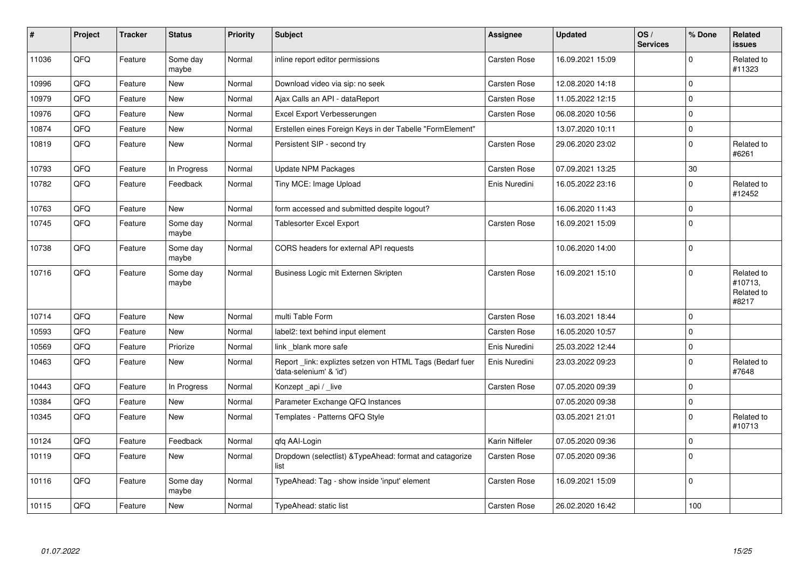| #     | Project | <b>Tracker</b> | <b>Status</b>     | <b>Priority</b> | Subject                                                                              | Assignee            | <b>Updated</b>   | OS/<br><b>Services</b> | % Done      | <b>Related</b><br><b>issues</b>              |
|-------|---------|----------------|-------------------|-----------------|--------------------------------------------------------------------------------------|---------------------|------------------|------------------------|-------------|----------------------------------------------|
| 11036 | QFQ     | Feature        | Some day<br>maybe | Normal          | inline report editor permissions                                                     | Carsten Rose        | 16.09.2021 15:09 |                        | $\Omega$    | Related to<br>#11323                         |
| 10996 | QFQ     | Feature        | <b>New</b>        | Normal          | Download video via sip: no seek                                                      | Carsten Rose        | 12.08.2020 14:18 |                        | $\Omega$    |                                              |
| 10979 | QFQ     | Feature        | New               | Normal          | Ajax Calls an API - dataReport                                                       | Carsten Rose        | 11.05.2022 12:15 |                        | $\Omega$    |                                              |
| 10976 | QFQ     | Feature        | <b>New</b>        | Normal          | Excel Export Verbesserungen                                                          | Carsten Rose        | 06.08.2020 10:56 |                        | $\mathbf 0$ |                                              |
| 10874 | QFQ     | Feature        | <b>New</b>        | Normal          | Erstellen eines Foreign Keys in der Tabelle "FormElement"                            |                     | 13.07.2020 10:11 |                        | $\mathbf 0$ |                                              |
| 10819 | QFQ     | Feature        | <b>New</b>        | Normal          | Persistent SIP - second try                                                          | <b>Carsten Rose</b> | 29.06.2020 23:02 |                        | $\Omega$    | Related to<br>#6261                          |
| 10793 | QFQ     | Feature        | In Progress       | Normal          | <b>Update NPM Packages</b>                                                           | <b>Carsten Rose</b> | 07.09.2021 13:25 |                        | 30          |                                              |
| 10782 | QFQ     | Feature        | Feedback          | Normal          | Tiny MCE: Image Upload                                                               | Enis Nuredini       | 16.05.2022 23:16 |                        | $\Omega$    | Related to<br>#12452                         |
| 10763 | QFQ     | Feature        | New               | Normal          | form accessed and submitted despite logout?                                          |                     | 16.06.2020 11:43 |                        | $\mathbf 0$ |                                              |
| 10745 | QFQ     | Feature        | Some day<br>maybe | Normal          | Tablesorter Excel Export                                                             | <b>Carsten Rose</b> | 16.09.2021 15:09 |                        | $\mathbf 0$ |                                              |
| 10738 | QFQ     | Feature        | Some day<br>maybe | Normal          | CORS headers for external API requests                                               |                     | 10.06.2020 14:00 |                        | $\Omega$    |                                              |
| 10716 | QFQ     | Feature        | Some day<br>maybe | Normal          | Business Logic mit Externen Skripten                                                 | <b>Carsten Rose</b> | 16.09.2021 15:10 |                        | $\Omega$    | Related to<br>#10713.<br>Related to<br>#8217 |
| 10714 | QFQ     | Feature        | <b>New</b>        | Normal          | multi Table Form                                                                     | <b>Carsten Rose</b> | 16.03.2021 18:44 |                        | $\Omega$    |                                              |
| 10593 | QFQ     | Feature        | <b>New</b>        | Normal          | label2: text behind input element                                                    | <b>Carsten Rose</b> | 16.05.2020 10:57 |                        | $\Omega$    |                                              |
| 10569 | QFQ     | Feature        | Priorize          | Normal          | link blank more safe                                                                 | Enis Nuredini       | 25.03.2022 12:44 |                        | $\Omega$    |                                              |
| 10463 | QFQ     | Feature        | New               | Normal          | Report _link: expliztes setzen von HTML Tags (Bedarf fuer<br>'data-selenium' & 'id') | Enis Nuredini       | 23.03.2022 09:23 |                        | $\mathbf 0$ | Related to<br>#7648                          |
| 10443 | QFQ     | Feature        | In Progress       | Normal          | Konzept api / live                                                                   | <b>Carsten Rose</b> | 07.05.2020 09:39 |                        | $\mathbf 0$ |                                              |
| 10384 | QFQ     | Feature        | <b>New</b>        | Normal          | Parameter Exchange QFQ Instances                                                     |                     | 07.05.2020 09:38 |                        | $\Omega$    |                                              |
| 10345 | QFQ     | Feature        | New               | Normal          | Templates - Patterns QFQ Style                                                       |                     | 03.05.2021 21:01 |                        | $\Omega$    | Related to<br>#10713                         |
| 10124 | QFQ     | Feature        | Feedback          | Normal          | qfq AAI-Login                                                                        | Karin Niffeler      | 07.05.2020 09:36 |                        | $\mathbf 0$ |                                              |
| 10119 | QFQ     | Feature        | New               | Normal          | Dropdown (selectlist) & Type Ahead: format and catagorize<br>list                    | <b>Carsten Rose</b> | 07.05.2020 09:36 |                        | $\mathbf 0$ |                                              |
| 10116 | QFQ     | Feature        | Some day<br>maybe | Normal          | TypeAhead: Tag - show inside 'input' element                                         | <b>Carsten Rose</b> | 16.09.2021 15:09 |                        | $\mathbf 0$ |                                              |
| 10115 | QFQ     | Feature        | <b>New</b>        | Normal          | TypeAhead: static list                                                               | Carsten Rose        | 26.02.2020 16:42 |                        | 100         |                                              |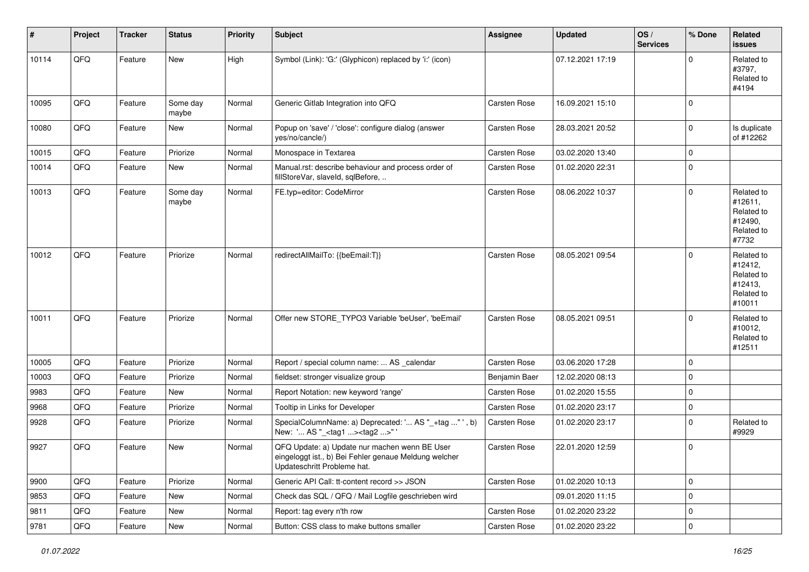| $\vert$ # | Project | <b>Tracker</b> | <b>Status</b>     | <b>Priority</b> | <b>Subject</b>                                                                                                                        | <b>Assignee</b> | Updated          | OS/<br><b>Services</b> | % Done      | Related<br>issues                                                      |
|-----------|---------|----------------|-------------------|-----------------|---------------------------------------------------------------------------------------------------------------------------------------|-----------------|------------------|------------------------|-------------|------------------------------------------------------------------------|
| 10114     | QFQ     | Feature        | <b>New</b>        | High            | Symbol (Link): 'G:' (Glyphicon) replaced by 'i:' (icon)                                                                               |                 | 07.12.2021 17:19 |                        | 0           | Related to<br>#3797,<br>Related to<br>#4194                            |
| 10095     | QFQ     | Feature        | Some day<br>maybe | Normal          | Generic Gitlab Integration into QFQ                                                                                                   | Carsten Rose    | 16.09.2021 15:10 |                        | $\mathbf 0$ |                                                                        |
| 10080     | QFQ     | Feature        | <b>New</b>        | Normal          | Popup on 'save' / 'close': configure dialog (answer<br>yes/no/cancle/)                                                                | Carsten Rose    | 28.03.2021 20:52 |                        | $\mathbf 0$ | Is duplicate<br>of #12262                                              |
| 10015     | QFQ     | Feature        | Priorize          | Normal          | Monospace in Textarea                                                                                                                 | Carsten Rose    | 03.02.2020 13:40 |                        | $\mathbf 0$ |                                                                        |
| 10014     | QFQ     | Feature        | <b>New</b>        | Normal          | Manual.rst: describe behaviour and process order of<br>fillStoreVar, slaveId, sqlBefore,                                              | Carsten Rose    | 01.02.2020 22:31 |                        | $\mathbf 0$ |                                                                        |
| 10013     | QFQ     | Feature        | Some day<br>maybe | Normal          | FE.typ=editor: CodeMirror                                                                                                             | Carsten Rose    | 08.06.2022 10:37 |                        | $\mathbf 0$ | Related to<br>#12611,<br>Related to<br>#12490,<br>Related to<br>#7732  |
| 10012     | QFQ     | Feature        | Priorize          | Normal          | redirectAllMailTo: {{beEmail:T}}                                                                                                      | Carsten Rose    | 08.05.2021 09:54 |                        | $\mathbf 0$ | Related to<br>#12412,<br>Related to<br>#12413,<br>Related to<br>#10011 |
| 10011     | QFQ     | Feature        | Priorize          | Normal          | Offer new STORE_TYPO3 Variable 'beUser', 'beEmail'                                                                                    | Carsten Rose    | 08.05.2021 09:51 |                        | $\mathbf 0$ | Related to<br>#10012,<br>Related to<br>#12511                          |
| 10005     | QFQ     | Feature        | Priorize          | Normal          | Report / special column name:  AS _calendar                                                                                           | Carsten Rose    | 03.06.2020 17:28 |                        | 0           |                                                                        |
| 10003     | QFQ     | Feature        | Priorize          | Normal          | fieldset: stronger visualize group                                                                                                    | Benjamin Baer   | 12.02.2020 08:13 |                        | $\mathbf 0$ |                                                                        |
| 9983      | QFQ     | Feature        | New               | Normal          | Report Notation: new keyword 'range'                                                                                                  | Carsten Rose    | 01.02.2020 15:55 |                        | $\pmb{0}$   |                                                                        |
| 9968      | QFQ     | Feature        | Priorize          | Normal          | Tooltip in Links for Developer                                                                                                        | Carsten Rose    | 01.02.2020 23:17 |                        | $\pmb{0}$   |                                                                        |
| 9928      | QFQ     | Feature        | Priorize          | Normal          | SpecialColumnName: a) Deprecated: ' AS "_+tag " ', b)<br>New: ' AS "_ <tag1><tag2>"'</tag2></tag1>                                    | Carsten Rose    | 01.02.2020 23:17 |                        | 0           | Related to<br>#9929                                                    |
| 9927      | QFQ     | Feature        | <b>New</b>        | Normal          | QFQ Update: a) Update nur machen wenn BE User<br>eingeloggt ist., b) Bei Fehler genaue Meldung welcher<br>Updateschritt Probleme hat. | Carsten Rose    | 22.01.2020 12:59 |                        | $\mathbf 0$ |                                                                        |
| 9900      | QFQ     | Feature        | Priorize          | Normal          | Generic API Call: tt-content record >> JSON                                                                                           | Carsten Rose    | 01.02.2020 10:13 |                        | $\pmb{0}$   |                                                                        |
| 9853      | QFQ     | Feature        | New               | Normal          | Check das SQL / QFQ / Mail Logfile geschrieben wird                                                                                   |                 | 09.01.2020 11:15 |                        | $\pmb{0}$   |                                                                        |
| 9811      | QFQ     | Feature        | New               | Normal          | Report: tag every n'th row                                                                                                            | Carsten Rose    | 01.02.2020 23:22 |                        | $\pmb{0}$   |                                                                        |
| 9781      | QFQ     | Feature        | New               | Normal          | Button: CSS class to make buttons smaller                                                                                             | Carsten Rose    | 01.02.2020 23:22 |                        | $\pmb{0}$   |                                                                        |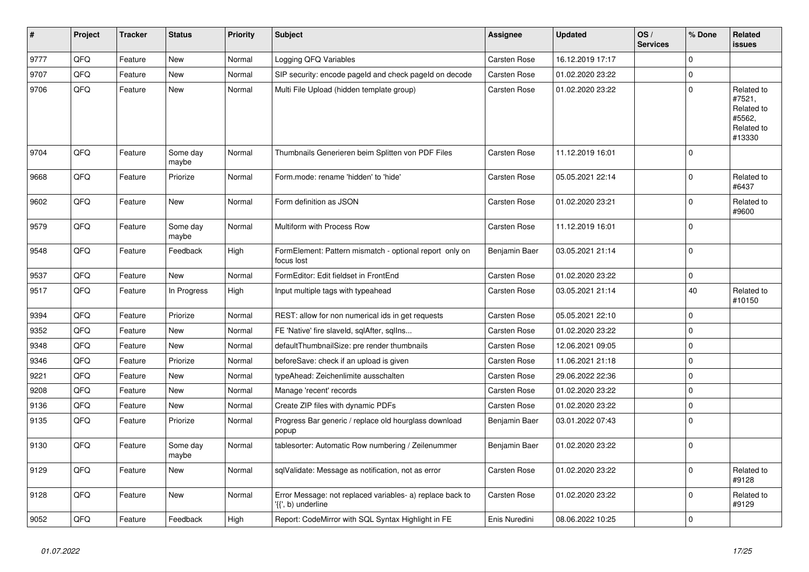| $\vert$ # | Project | <b>Tracker</b> | <b>Status</b>     | <b>Priority</b> | <b>Subject</b>                                                                  | Assignee            | <b>Updated</b>   | OS/<br><b>Services</b> | % Done      | <b>Related</b><br><b>issues</b>                                      |
|-----------|---------|----------------|-------------------|-----------------|---------------------------------------------------------------------------------|---------------------|------------------|------------------------|-------------|----------------------------------------------------------------------|
| 9777      | QFQ     | Feature        | <b>New</b>        | Normal          | Logging QFQ Variables                                                           | <b>Carsten Rose</b> | 16.12.2019 17:17 |                        | $\Omega$    |                                                                      |
| 9707      | QFQ     | Feature        | New               | Normal          | SIP security: encode pageld and check pageld on decode                          | <b>Carsten Rose</b> | 01.02.2020 23:22 |                        | $\Omega$    |                                                                      |
| 9706      | QFQ     | Feature        | <b>New</b>        | Normal          | Multi File Upload (hidden template group)                                       | Carsten Rose        | 01.02.2020 23:22 |                        | $\mathbf 0$ | Related to<br>#7521,<br>Related to<br>#5562,<br>Related to<br>#13330 |
| 9704      | QFQ     | Feature        | Some day<br>maybe | Normal          | Thumbnails Generieren beim Splitten von PDF Files                               | <b>Carsten Rose</b> | 11.12.2019 16:01 |                        | $\mathbf 0$ |                                                                      |
| 9668      | QFQ     | Feature        | Priorize          | Normal          | Form.mode: rename 'hidden' to 'hide'                                            | Carsten Rose        | 05.05.2021 22:14 |                        | $\mathbf 0$ | Related to<br>#6437                                                  |
| 9602      | QFQ     | Feature        | New               | Normal          | Form definition as JSON                                                         | Carsten Rose        | 01.02.2020 23:21 |                        | $\Omega$    | Related to<br>#9600                                                  |
| 9579      | QFQ     | Feature        | Some day<br>maybe | Normal          | Multiform with Process Row                                                      | <b>Carsten Rose</b> | 11.12.2019 16:01 |                        | $\Omega$    |                                                                      |
| 9548      | QFQ     | Feature        | Feedback          | High            | FormElement: Pattern mismatch - optional report only on<br>focus lost           | Benjamin Baer       | 03.05.2021 21:14 |                        | $\mathbf 0$ |                                                                      |
| 9537      | QFQ     | Feature        | <b>New</b>        | Normal          | FormEditor: Edit fieldset in FrontEnd                                           | <b>Carsten Rose</b> | 01.02.2020 23:22 |                        | $\mathbf 0$ |                                                                      |
| 9517      | QFQ     | Feature        | In Progress       | High            | Input multiple tags with typeahead                                              | <b>Carsten Rose</b> | 03.05.2021 21:14 |                        | 40          | Related to<br>#10150                                                 |
| 9394      | QFQ     | Feature        | Priorize          | Normal          | REST: allow for non numerical ids in get requests                               | Carsten Rose        | 05.05.2021 22:10 |                        | $\Omega$    |                                                                      |
| 9352      | QFQ     | Feature        | <b>New</b>        | Normal          | FE 'Native' fire slaveld, sqlAfter, sqlIns                                      | Carsten Rose        | 01.02.2020 23:22 |                        | $\mathbf 0$ |                                                                      |
| 9348      | QFQ     | Feature        | New               | Normal          | defaultThumbnailSize: pre render thumbnails                                     | <b>Carsten Rose</b> | 12.06.2021 09:05 |                        | $\mathbf 0$ |                                                                      |
| 9346      | QFQ     | Feature        | Priorize          | Normal          | beforeSave: check if an upload is given                                         | Carsten Rose        | 11.06.2021 21:18 |                        | $\mathbf 0$ |                                                                      |
| 9221      | QFQ     | Feature        | New               | Normal          | typeAhead: Zeichenlimite ausschalten                                            | Carsten Rose        | 29.06.2022 22:36 |                        | $\Omega$    |                                                                      |
| 9208      | QFQ     | Feature        | New               | Normal          | Manage 'recent' records                                                         | Carsten Rose        | 01.02.2020 23:22 |                        | $\mathbf 0$ |                                                                      |
| 9136      | QFQ     | Feature        | New               | Normal          | Create ZIP files with dynamic PDFs                                              | <b>Carsten Rose</b> | 01.02.2020 23:22 |                        | $\Omega$    |                                                                      |
| 9135      | QFQ     | Feature        | Priorize          | Normal          | Progress Bar generic / replace old hourglass download<br>popup                  | Benjamin Baer       | 03.01.2022 07:43 |                        | $\mathbf 0$ |                                                                      |
| 9130      | QFQ     | Feature        | Some dav<br>maybe | Normal          | tablesorter: Automatic Row numbering / Zeilenummer                              | Benjamin Baer       | 01.02.2020 23:22 |                        | $\Omega$    |                                                                      |
| 9129      | QFQ     | Feature        | New               | Normal          | sqlValidate: Message as notification, not as error                              | Carsten Rose        | 01.02.2020 23:22 |                        | $\mathbf 0$ | Related to<br>#9128                                                  |
| 9128      | QFQ     | Feature        | New               | Normal          | Error Message: not replaced variables- a) replace back to<br>'{{', b) underline | Carsten Rose        | 01.02.2020 23:22 |                        | $\mathbf 0$ | Related to<br>#9129                                                  |
| 9052      | QFQ     | Feature        | Feedback          | High            | Report: CodeMirror with SQL Syntax Highlight in FE                              | Enis Nuredini       | 08.06.2022 10:25 |                        | $\Omega$    |                                                                      |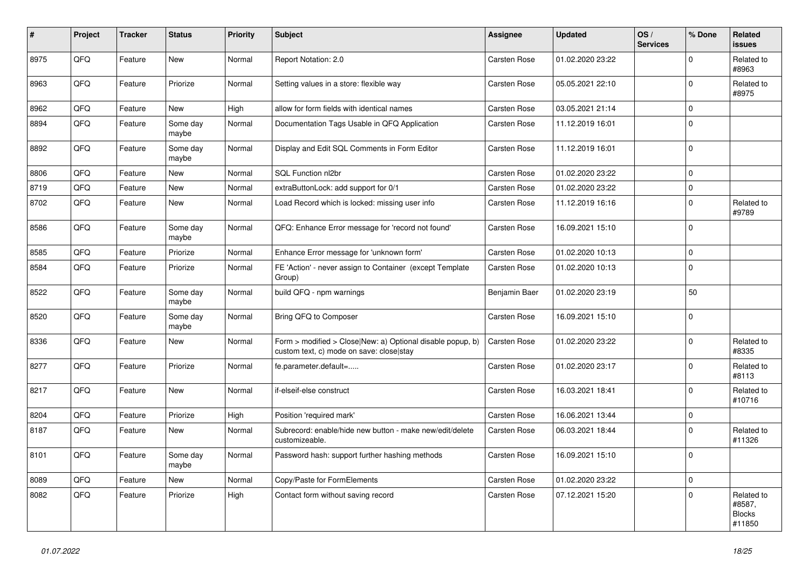| #    | Project | <b>Tracker</b> | <b>Status</b>     | <b>Priority</b> | <b>Subject</b>                                                                                         | <b>Assignee</b>     | <b>Updated</b>   | OS/<br><b>Services</b> | % Done      | Related<br><b>issues</b>                        |
|------|---------|----------------|-------------------|-----------------|--------------------------------------------------------------------------------------------------------|---------------------|------------------|------------------------|-------------|-------------------------------------------------|
| 8975 | QFQ     | Feature        | <b>New</b>        | Normal          | Report Notation: 2.0                                                                                   | <b>Carsten Rose</b> | 01.02.2020 23:22 |                        | $\Omega$    | Related to<br>#8963                             |
| 8963 | QFQ     | Feature        | Priorize          | Normal          | Setting values in a store: flexible way                                                                | <b>Carsten Rose</b> | 05.05.2021 22:10 |                        | $\mathbf 0$ | Related to<br>#8975                             |
| 8962 | QFQ     | Feature        | <b>New</b>        | High            | allow for form fields with identical names                                                             | <b>Carsten Rose</b> | 03.05.2021 21:14 |                        | $\mathbf 0$ |                                                 |
| 8894 | QFQ     | Feature        | Some day<br>maybe | Normal          | Documentation Tags Usable in QFQ Application                                                           | <b>Carsten Rose</b> | 11.12.2019 16:01 |                        | $\Omega$    |                                                 |
| 8892 | QFQ     | Feature        | Some day<br>maybe | Normal          | Display and Edit SQL Comments in Form Editor                                                           | <b>Carsten Rose</b> | 11.12.2019 16:01 |                        | $\mathbf 0$ |                                                 |
| 8806 | QFQ     | Feature        | New               | Normal          | <b>SQL Function nl2br</b>                                                                              | <b>Carsten Rose</b> | 01.02.2020 23:22 |                        | $\mathbf 0$ |                                                 |
| 8719 | QFQ     | Feature        | New               | Normal          | extraButtonLock: add support for 0/1                                                                   | <b>Carsten Rose</b> | 01.02.2020 23:22 |                        | $\mathbf 0$ |                                                 |
| 8702 | QFQ     | Feature        | <b>New</b>        | Normal          | Load Record which is locked: missing user info                                                         | <b>Carsten Rose</b> | 11.12.2019 16:16 |                        | $\mathbf 0$ | Related to<br>#9789                             |
| 8586 | QFQ     | Feature        | Some day<br>maybe | Normal          | QFQ: Enhance Error message for 'record not found'                                                      | <b>Carsten Rose</b> | 16.09.2021 15:10 |                        | $\mathbf 0$ |                                                 |
| 8585 | QFQ     | Feature        | Priorize          | Normal          | Enhance Error message for 'unknown form'                                                               | <b>Carsten Rose</b> | 01.02.2020 10:13 |                        | $\mathbf 0$ |                                                 |
| 8584 | QFQ     | Feature        | Priorize          | Normal          | FE 'Action' - never assign to Container (except Template<br>Group)                                     | <b>Carsten Rose</b> | 01.02.2020 10:13 |                        | $\mathbf 0$ |                                                 |
| 8522 | QFQ     | Feature        | Some day<br>maybe | Normal          | build QFQ - npm warnings                                                                               | Benjamin Baer       | 01.02.2020 23:19 |                        | 50          |                                                 |
| 8520 | QFQ     | Feature        | Some day<br>maybe | Normal          | Bring QFQ to Composer                                                                                  | <b>Carsten Rose</b> | 16.09.2021 15:10 |                        | $\mathbf 0$ |                                                 |
| 8336 | QFQ     | Feature        | <b>New</b>        | Normal          | Form > modified > Close New: a) Optional disable popup, b)<br>custom text, c) mode on save: close stay | <b>Carsten Rose</b> | 01.02.2020 23:22 |                        | $\mathbf 0$ | Related to<br>#8335                             |
| 8277 | QFQ     | Feature        | Priorize          | Normal          | fe.parameter.default=                                                                                  | <b>Carsten Rose</b> | 01.02.2020 23:17 |                        | $\Omega$    | Related to<br>#8113                             |
| 8217 | QFQ     | Feature        | <b>New</b>        | Normal          | if-elseif-else construct                                                                               | Carsten Rose        | 16.03.2021 18:41 |                        | $\Omega$    | Related to<br>#10716                            |
| 8204 | QFQ     | Feature        | Priorize          | High            | Position 'required mark'                                                                               | <b>Carsten Rose</b> | 16.06.2021 13:44 |                        | $\mathbf 0$ |                                                 |
| 8187 | QFQ     | Feature        | New               | Normal          | Subrecord: enable/hide new button - make new/edit/delete<br>customizeable.                             | <b>Carsten Rose</b> | 06.03.2021 18:44 |                        | $\mathbf 0$ | Related to<br>#11326                            |
| 8101 | QFQ     | Feature        | Some day<br>maybe | Normal          | Password hash: support further hashing methods                                                         | Carsten Rose        | 16.09.2021 15:10 |                        | $\mathbf 0$ |                                                 |
| 8089 | QFQ     | Feature        | New               | Normal          | Copy/Paste for FormElements                                                                            | Carsten Rose        | 01.02.2020 23:22 |                        | $\mathbf 0$ |                                                 |
| 8082 | QFQ     | Feature        | Priorize          | High            | Contact form without saving record                                                                     | Carsten Rose        | 07.12.2021 15:20 |                        | $\mathbf 0$ | Related to<br>#8587,<br><b>Blocks</b><br>#11850 |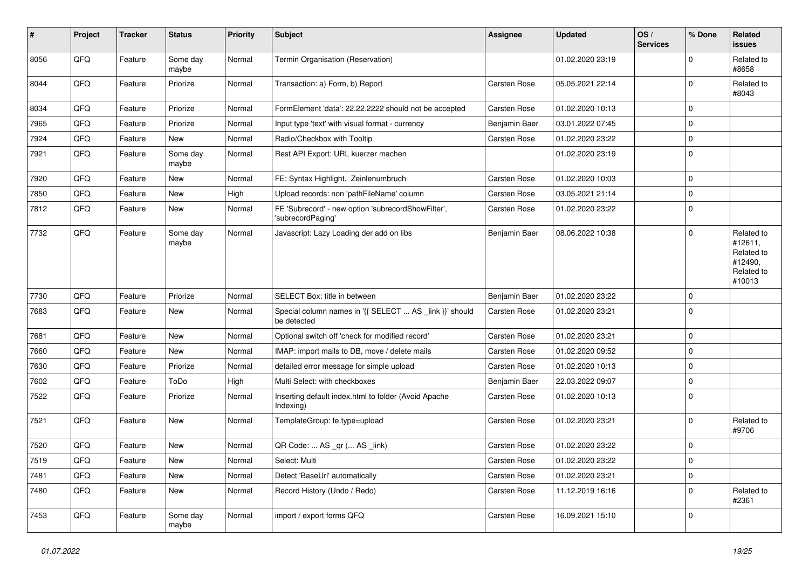| #    | Project | <b>Tracker</b> | <b>Status</b>     | <b>Priority</b> | Subject                                                                 | <b>Assignee</b>     | <b>Updated</b>   | OS/<br><b>Services</b> | % Done      | <b>Related</b><br><b>issues</b>                                        |
|------|---------|----------------|-------------------|-----------------|-------------------------------------------------------------------------|---------------------|------------------|------------------------|-------------|------------------------------------------------------------------------|
| 8056 | QFQ     | Feature        | Some day<br>maybe | Normal          | Termin Organisation (Reservation)                                       |                     | 01.02.2020 23:19 |                        | $\Omega$    | Related to<br>#8658                                                    |
| 8044 | QFQ     | Feature        | Priorize          | Normal          | Transaction: a) Form, b) Report                                         | <b>Carsten Rose</b> | 05.05.2021 22:14 |                        | $\mathbf 0$ | Related to<br>#8043                                                    |
| 8034 | QFQ     | Feature        | Priorize          | Normal          | FormElement 'data': 22.22.2222 should not be accepted                   | Carsten Rose        | 01.02.2020 10:13 |                        | $\Omega$    |                                                                        |
| 7965 | QFQ     | Feature        | Priorize          | Normal          | Input type 'text' with visual format - currency                         | Benjamin Baer       | 03.01.2022 07:45 |                        | $\mathbf 0$ |                                                                        |
| 7924 | QFQ     | Feature        | New               | Normal          | Radio/Checkbox with Tooltip                                             | <b>Carsten Rose</b> | 01.02.2020 23:22 |                        | $\mathbf 0$ |                                                                        |
| 7921 | QFQ     | Feature        | Some day<br>maybe | Normal          | Rest API Export: URL kuerzer machen                                     |                     | 01.02.2020 23:19 |                        | $\mathbf 0$ |                                                                        |
| 7920 | QFQ     | Feature        | New               | Normal          | FE: Syntax Highlight, Zeinlenumbruch                                    | Carsten Rose        | 01.02.2020 10:03 |                        | $\mathbf 0$ |                                                                        |
| 7850 | QFQ     | Feature        | New               | High            | Upload records: non 'pathFileName' column                               | <b>Carsten Rose</b> | 03.05.2021 21:14 |                        | $\mathbf 0$ |                                                                        |
| 7812 | QFQ     | Feature        | New               | Normal          | FE 'Subrecord' - new option 'subrecordShowFilter',<br>'subrecordPaging' | Carsten Rose        | 01.02.2020 23:22 |                        | $\mathbf 0$ |                                                                        |
| 7732 | QFQ     | Feature        | Some day<br>maybe | Normal          | Javascript: Lazy Loading der add on libs                                | Benjamin Baer       | 08.06.2022 10:38 |                        | $\Omega$    | Related to<br>#12611,<br>Related to<br>#12490,<br>Related to<br>#10013 |
| 7730 | QFQ     | Feature        | Priorize          | Normal          | SELECT Box: title in between                                            | Benjamin Baer       | 01.02.2020 23:22 |                        | $\mathbf 0$ |                                                                        |
| 7683 | QFQ     | Feature        | New               | Normal          | Special column names in '{{ SELECT  AS _link }}' should<br>be detected  | Carsten Rose        | 01.02.2020 23:21 |                        | $\mathbf 0$ |                                                                        |
| 7681 | QFQ     | Feature        | <b>New</b>        | Normal          | Optional switch off 'check for modified record'                         | <b>Carsten Rose</b> | 01.02.2020 23:21 |                        | $\mathbf 0$ |                                                                        |
| 7660 | QFQ     | Feature        | New               | Normal          | IMAP: import mails to DB, move / delete mails                           | <b>Carsten Rose</b> | 01.02.2020 09:52 |                        | $\mathbf 0$ |                                                                        |
| 7630 | QFQ     | Feature        | Priorize          | Normal          | detailed error message for simple upload                                | Carsten Rose        | 01.02.2020 10:13 |                        | $\mathbf 0$ |                                                                        |
| 7602 | QFQ     | Feature        | ToDo              | High            | Multi Select: with checkboxes                                           | Benjamin Baer       | 22.03.2022 09:07 |                        | $\Omega$    |                                                                        |
| 7522 | QFQ     | Feature        | Priorize          | Normal          | Inserting default index.html to folder (Avoid Apache<br>Indexing)       | Carsten Rose        | 01.02.2020 10:13 |                        | $\mathbf 0$ |                                                                        |
| 7521 | QFQ     | Feature        | <b>New</b>        | Normal          | TemplateGroup: fe.type=upload                                           | <b>Carsten Rose</b> | 01.02.2020 23:21 |                        | $\mathbf 0$ | Related to<br>#9706                                                    |
| 7520 | QFQ     | Feature        | <b>New</b>        | Normal          | QR Code:  AS _qr ( AS _link)                                            | <b>Carsten Rose</b> | 01.02.2020 23:22 |                        | $\mathbf 0$ |                                                                        |
| 7519 | QFQ     | Feature        | New               | Normal          | Select: Multi                                                           | Carsten Rose        | 01.02.2020 23:22 |                        | 0           |                                                                        |
| 7481 | QFQ     | Feature        | New               | Normal          | Detect 'BaseUrl' automatically                                          | Carsten Rose        | 01.02.2020 23:21 |                        | $\mathbf 0$ |                                                                        |
| 7480 | QFQ     | Feature        | New               | Normal          | Record History (Undo / Redo)                                            | Carsten Rose        | 11.12.2019 16:16 |                        | $\mathbf 0$ | Related to<br>#2361                                                    |
| 7453 | QFQ     | Feature        | Some day<br>maybe | Normal          | import / export forms QFQ                                               | Carsten Rose        | 16.09.2021 15:10 |                        | $\mathbf 0$ |                                                                        |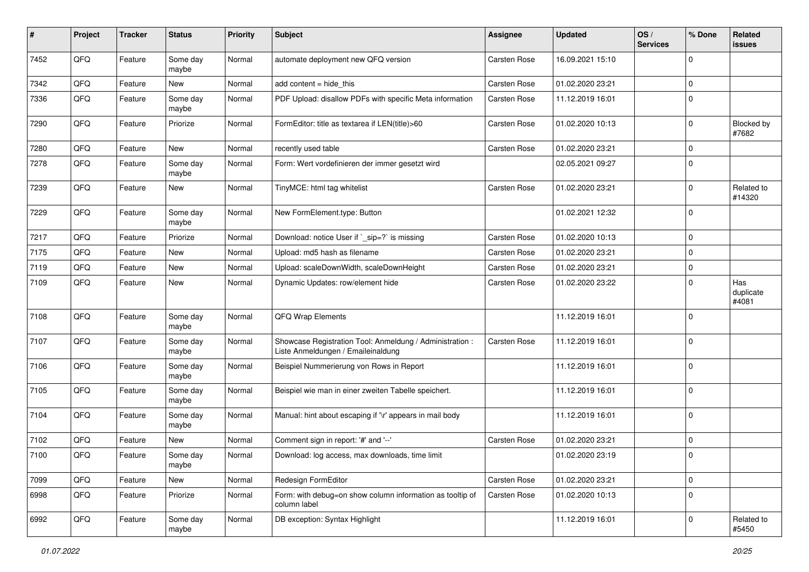| #    | Project | <b>Tracker</b> | <b>Status</b>     | <b>Priority</b> | <b>Subject</b>                                                                                 | Assignee            | <b>Updated</b>   | OS/<br><b>Services</b> | % Done      | Related<br><b>issues</b>  |
|------|---------|----------------|-------------------|-----------------|------------------------------------------------------------------------------------------------|---------------------|------------------|------------------------|-------------|---------------------------|
| 7452 | QFQ     | Feature        | Some day<br>maybe | Normal          | automate deployment new QFQ version                                                            | <b>Carsten Rose</b> | 16.09.2021 15:10 |                        | $\mathbf 0$ |                           |
| 7342 | QFQ     | Feature        | New               | Normal          | add content = hide_this                                                                        | Carsten Rose        | 01.02.2020 23:21 |                        | $\mathbf 0$ |                           |
| 7336 | QFQ     | Feature        | Some day<br>maybe | Normal          | PDF Upload: disallow PDFs with specific Meta information                                       | <b>Carsten Rose</b> | 11.12.2019 16:01 |                        | $\mathbf 0$ |                           |
| 7290 | QFQ     | Feature        | Priorize          | Normal          | FormEditor: title as textarea if LEN(title)>60                                                 | <b>Carsten Rose</b> | 01.02.2020 10:13 |                        | $\mathbf 0$ | Blocked by<br>#7682       |
| 7280 | QFQ     | Feature        | <b>New</b>        | Normal          | recently used table                                                                            | <b>Carsten Rose</b> | 01.02.2020 23:21 |                        | $\mathbf 0$ |                           |
| 7278 | QFQ     | Feature        | Some day<br>maybe | Normal          | Form: Wert vordefinieren der immer gesetzt wird                                                |                     | 02.05.2021 09:27 |                        | $\mathbf 0$ |                           |
| 7239 | QFQ     | Feature        | New               | Normal          | TinyMCE: html tag whitelist                                                                    | <b>Carsten Rose</b> | 01.02.2020 23:21 |                        | $\mathbf 0$ | Related to<br>#14320      |
| 7229 | QFQ     | Feature        | Some day<br>maybe | Normal          | New FormElement.type: Button                                                                   |                     | 01.02.2021 12:32 |                        | $\mathbf 0$ |                           |
| 7217 | QFQ     | Feature        | Priorize          | Normal          | Download: notice User if `_sip=?` is missing                                                   | <b>Carsten Rose</b> | 01.02.2020 10:13 |                        | $\mathbf 0$ |                           |
| 7175 | QFQ     | Feature        | New               | Normal          | Upload: md5 hash as filename                                                                   | Carsten Rose        | 01.02.2020 23:21 |                        | $\mathbf 0$ |                           |
| 7119 | QFQ     | Feature        | <b>New</b>        | Normal          | Upload: scaleDownWidth, scaleDownHeight                                                        | <b>Carsten Rose</b> | 01.02.2020 23:21 |                        | $\mathbf 0$ |                           |
| 7109 | QFQ     | Feature        | New               | Normal          | Dynamic Updates: row/element hide                                                              | <b>Carsten Rose</b> | 01.02.2020 23:22 |                        | $\mathbf 0$ | Has<br>duplicate<br>#4081 |
| 7108 | QFQ     | Feature        | Some day<br>maybe | Normal          | QFQ Wrap Elements                                                                              |                     | 11.12.2019 16:01 |                        | $\mathbf 0$ |                           |
| 7107 | QFQ     | Feature        | Some day<br>maybe | Normal          | Showcase Registration Tool: Anmeldung / Administration :<br>Liste Anmeldungen / Emaileinaldung | <b>Carsten Rose</b> | 11.12.2019 16:01 |                        | $\mathbf 0$ |                           |
| 7106 | QFQ     | Feature        | Some day<br>maybe | Normal          | Beispiel Nummerierung von Rows in Report                                                       |                     | 11.12.2019 16:01 |                        | $\mathbf 0$ |                           |
| 7105 | QFQ     | Feature        | Some day<br>maybe | Normal          | Beispiel wie man in einer zweiten Tabelle speichert.                                           |                     | 11.12.2019 16:01 |                        | $\mathbf 0$ |                           |
| 7104 | QFQ     | Feature        | Some day<br>maybe | Normal          | Manual: hint about escaping if '\r' appears in mail body                                       |                     | 11.12.2019 16:01 |                        | $\mathbf 0$ |                           |
| 7102 | QFQ     | Feature        | New               | Normal          | Comment sign in report: '#' and '--'                                                           | <b>Carsten Rose</b> | 01.02.2020 23:21 |                        | $\mathbf 0$ |                           |
| 7100 | QFQ     | Feature        | Some day<br>maybe | Normal          | Download: log access, max downloads, time limit                                                |                     | 01.02.2020 23:19 |                        | $\mathbf 0$ |                           |
| 7099 | QFQ     | Feature        | New               | Normal          | Redesign FormEditor                                                                            | Carsten Rose        | 01.02.2020 23:21 |                        | $\pmb{0}$   |                           |
| 6998 | QFQ     | Feature        | Priorize          | Normal          | Form: with debug=on show column information as tooltip of<br>column label                      | <b>Carsten Rose</b> | 01.02.2020 10:13 |                        | $\mathbf 0$ |                           |
| 6992 | QFG     | Feature        | Some day<br>maybe | Normal          | DB exception: Syntax Highlight                                                                 |                     | 11.12.2019 16:01 |                        | $\pmb{0}$   | Related to<br>#5450       |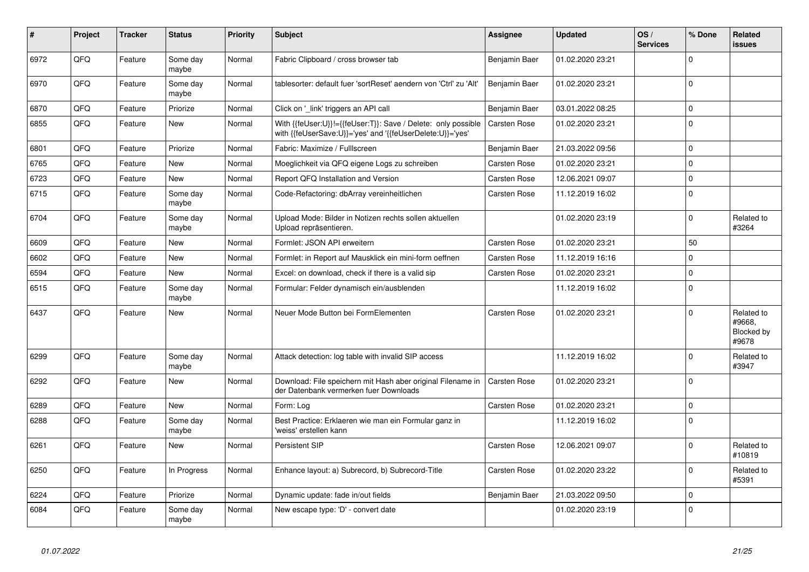| ∥ #  | Project | <b>Tracker</b> | <b>Status</b>     | Priority | <b>Subject</b>                                                                                                             | <b>Assignee</b>     | <b>Updated</b>   | OS/<br><b>Services</b> | % Done      | Related<br><b>issues</b>                    |
|------|---------|----------------|-------------------|----------|----------------------------------------------------------------------------------------------------------------------------|---------------------|------------------|------------------------|-------------|---------------------------------------------|
| 6972 | QFQ     | Feature        | Some day<br>maybe | Normal   | Fabric Clipboard / cross browser tab                                                                                       | Benjamin Baer       | 01.02.2020 23:21 |                        | $\Omega$    |                                             |
| 6970 | QFQ     | Feature        | Some day<br>maybe | Normal   | tablesorter: default fuer 'sortReset' aendern von 'Ctrl' zu 'Alt'                                                          | Benjamin Baer       | 01.02.2020 23:21 |                        | $\Omega$    |                                             |
| 6870 | QFQ     | Feature        | Priorize          | Normal   | Click on '_link' triggers an API call                                                                                      | Benjamin Baer       | 03.01.2022 08:25 |                        | $\mathbf 0$ |                                             |
| 6855 | QFQ     | Feature        | <b>New</b>        | Normal   | With {{feUser:U}}!={{feUser:T}}: Save / Delete: only possible<br>with {{feUserSave:U}}='yes' and '{{feUserDelete:U}}='yes' | Carsten Rose        | 01.02.2020 23:21 |                        | $\Omega$    |                                             |
| 6801 | QFQ     | Feature        | Priorize          | Normal   | Fabric: Maximize / Fulllscreen                                                                                             | Benjamin Baer       | 21.03.2022 09:56 |                        | $\mathbf 0$ |                                             |
| 6765 | QFQ     | Feature        | <b>New</b>        | Normal   | Moeglichkeit via QFQ eigene Logs zu schreiben                                                                              | <b>Carsten Rose</b> | 01.02.2020 23:21 |                        | $\mathbf 0$ |                                             |
| 6723 | QFQ     | Feature        | <b>New</b>        | Normal   | Report QFQ Installation and Version                                                                                        | <b>Carsten Rose</b> | 12.06.2021 09:07 |                        | $\mathbf 0$ |                                             |
| 6715 | QFQ     | Feature        | Some day<br>maybe | Normal   | Code-Refactoring: dbArray vereinheitlichen                                                                                 | Carsten Rose        | 11.12.2019 16:02 |                        | $\Omega$    |                                             |
| 6704 | QFQ     | Feature        | Some day<br>maybe | Normal   | Upload Mode: Bilder in Notizen rechts sollen aktuellen<br>Upload repräsentieren.                                           |                     | 01.02.2020 23:19 |                        | $\Omega$    | Related to<br>#3264                         |
| 6609 | QFQ     | Feature        | New               | Normal   | Formlet: JSON API erweitern                                                                                                | <b>Carsten Rose</b> | 01.02.2020 23:21 |                        | 50          |                                             |
| 6602 | QFQ     | Feature        | <b>New</b>        | Normal   | Formlet: in Report auf Mausklick ein mini-form oeffnen                                                                     | <b>Carsten Rose</b> | 11.12.2019 16:16 |                        | $\Omega$    |                                             |
| 6594 | QFQ     | Feature        | <b>New</b>        | Normal   | Excel: on download, check if there is a valid sip                                                                          | Carsten Rose        | 01.02.2020 23:21 |                        | $\Omega$    |                                             |
| 6515 | QFQ     | Feature        | Some day<br>maybe | Normal   | Formular: Felder dynamisch ein/ausblenden                                                                                  |                     | 11.12.2019 16:02 |                        | $\Omega$    |                                             |
| 6437 | QFQ     | Feature        | <b>New</b>        | Normal   | Neuer Mode Button bei FormElementen                                                                                        | <b>Carsten Rose</b> | 01.02.2020 23:21 |                        | $\mathbf 0$ | Related to<br>#9668,<br>Blocked by<br>#9678 |
| 6299 | QFQ     | Feature        | Some day<br>maybe | Normal   | Attack detection: log table with invalid SIP access                                                                        |                     | 11.12.2019 16:02 |                        | $\mathbf 0$ | Related to<br>#3947                         |
| 6292 | QFQ     | Feature        | <b>New</b>        | Normal   | Download: File speichern mit Hash aber original Filename in<br>der Datenbank vermerken fuer Downloads                      | <b>Carsten Rose</b> | 01.02.2020 23:21 |                        | $\mathbf 0$ |                                             |
| 6289 | QFQ     | Feature        | <b>New</b>        | Normal   | Form: Log                                                                                                                  | Carsten Rose        | 01.02.2020 23:21 |                        | $\mathbf 0$ |                                             |
| 6288 | QFQ     | Feature        | Some day<br>maybe | Normal   | Best Practice: Erklaeren wie man ein Formular ganz in<br>'weiss' erstellen kann                                            |                     | 11.12.2019 16:02 |                        | $\Omega$    |                                             |
| 6261 | QFQ     | Feature        | <b>New</b>        | Normal   | <b>Persistent SIP</b>                                                                                                      | <b>Carsten Rose</b> | 12.06.2021 09:07 |                        | $\Omega$    | Related to<br>#10819                        |
| 6250 | QFQ     | Feature        | In Progress       | Normal   | Enhance layout: a) Subrecord, b) Subrecord-Title                                                                           | <b>Carsten Rose</b> | 01.02.2020 23:22 |                        | $\Omega$    | Related to<br>#5391                         |
| 6224 | QFQ     | Feature        | Priorize          | Normal   | Dynamic update: fade in/out fields                                                                                         | Benjamin Baer       | 21.03.2022 09:50 |                        | $\mathbf 0$ |                                             |
| 6084 | QFQ     | Feature        | Some day<br>maybe | Normal   | New escape type: 'D' - convert date                                                                                        |                     | 01.02.2020 23:19 |                        | $\mathbf 0$ |                                             |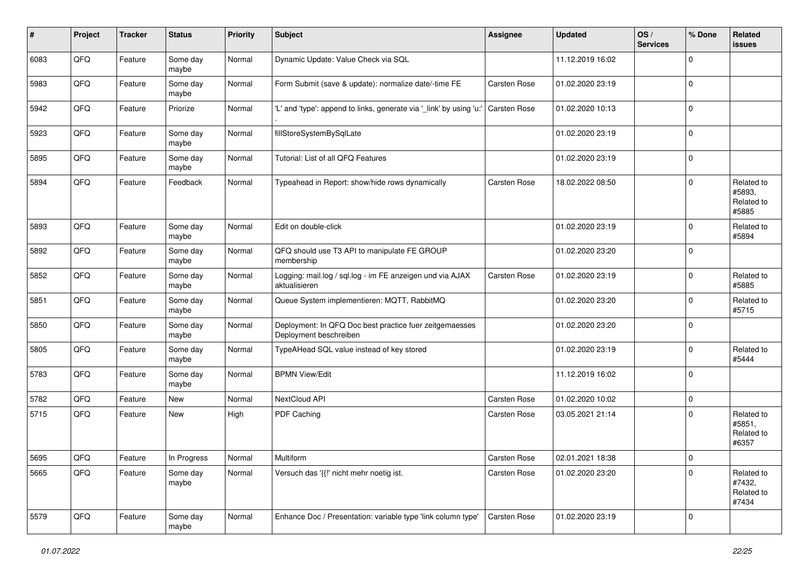| #    | Project | <b>Tracker</b> | <b>Status</b>     | <b>Priority</b> | <b>Subject</b>                                                                    | Assignee            | <b>Updated</b>   | OS/<br><b>Services</b> | % Done      | Related<br><b>issues</b>                    |
|------|---------|----------------|-------------------|-----------------|-----------------------------------------------------------------------------------|---------------------|------------------|------------------------|-------------|---------------------------------------------|
| 6083 | QFQ     | Feature        | Some day<br>maybe | Normal          | Dynamic Update: Value Check via SQL                                               |                     | 11.12.2019 16:02 |                        | $\mathbf 0$ |                                             |
| 5983 | QFQ     | Feature        | Some day<br>maybe | Normal          | Form Submit (save & update): normalize date/-time FE                              | <b>Carsten Rose</b> | 01.02.2020 23:19 |                        | $\mathbf 0$ |                                             |
| 5942 | QFQ     | Feature        | Priorize          | Normal          | 'L' and 'type': append to links, generate via 'link' by using 'u:'                | <b>Carsten Rose</b> | 01.02.2020 10:13 |                        | $\Omega$    |                                             |
| 5923 | QFQ     | Feature        | Some day<br>maybe | Normal          | fillStoreSystemBySqlLate                                                          |                     | 01.02.2020 23:19 |                        | $\mathbf 0$ |                                             |
| 5895 | QFQ     | Feature        | Some day<br>maybe | Normal          | Tutorial: List of all QFQ Features                                                |                     | 01.02.2020 23:19 |                        | $\mathbf 0$ |                                             |
| 5894 | QFQ     | Feature        | Feedback          | Normal          | Typeahead in Report: show/hide rows dynamically                                   | Carsten Rose        | 18.02.2022 08:50 |                        | $\mathbf 0$ | Related to<br>#5893.<br>Related to<br>#5885 |
| 5893 | QFQ     | Feature        | Some day<br>maybe | Normal          | Edit on double-click                                                              |                     | 01.02.2020 23:19 |                        | $\mathbf 0$ | Related to<br>#5894                         |
| 5892 | QFQ     | Feature        | Some day<br>maybe | Normal          | QFQ should use T3 API to manipulate FE GROUP<br>membership                        |                     | 01.02.2020 23:20 |                        | $\mathbf 0$ |                                             |
| 5852 | QFQ     | Feature        | Some day<br>maybe | Normal          | Logging: mail.log / sql.log - im FE anzeigen und via AJAX<br>aktualisieren        | <b>Carsten Rose</b> | 01.02.2020 23:19 |                        | $\mathbf 0$ | Related to<br>#5885                         |
| 5851 | QFQ     | Feature        | Some day<br>maybe | Normal          | Queue System implementieren: MQTT, RabbitMQ                                       |                     | 01.02.2020 23:20 |                        | $\mathbf 0$ | Related to<br>#5715                         |
| 5850 | QFQ     | Feature        | Some day<br>maybe | Normal          | Deployment: In QFQ Doc best practice fuer zeitgemaesses<br>Deployment beschreiben |                     | 01.02.2020 23:20 |                        | $\Omega$    |                                             |
| 5805 | QFQ     | Feature        | Some day<br>maybe | Normal          | TypeAHead SQL value instead of key stored                                         |                     | 01.02.2020 23:19 |                        | $\mathbf 0$ | Related to<br>#5444                         |
| 5783 | QFQ     | Feature        | Some day<br>maybe | Normal          | <b>BPMN View/Edit</b>                                                             |                     | 11.12.2019 16:02 |                        | $\mathbf 0$ |                                             |
| 5782 | QFQ     | Feature        | <b>New</b>        | Normal          | NextCloud API                                                                     | <b>Carsten Rose</b> | 01.02.2020 10:02 |                        | $\mathbf 0$ |                                             |
| 5715 | QFQ     | Feature        | <b>New</b>        | High            | PDF Caching                                                                       | <b>Carsten Rose</b> | 03.05.2021 21:14 |                        | $\mathbf 0$ | Related to<br>#5851,<br>Related to<br>#6357 |
| 5695 | QFG     | Feature        | In Progress       | Normal          | Multiform                                                                         | Carsten Rose        | 02.01.2021 18:38 |                        | 0           |                                             |
| 5665 | QFQ     | Feature        | Some day<br>maybe | Normal          | Versuch das '{{!' nicht mehr noetig ist.                                          | <b>Carsten Rose</b> | 01.02.2020 23:20 |                        | $\mathbf 0$ | Related to<br>#7432,<br>Related to<br>#7434 |
| 5579 | QFQ     | Feature        | Some day<br>maybe | Normal          | Enhance Doc / Presentation: variable type 'link column type'                      | <b>Carsten Rose</b> | 01.02.2020 23:19 |                        | $\mathbf 0$ |                                             |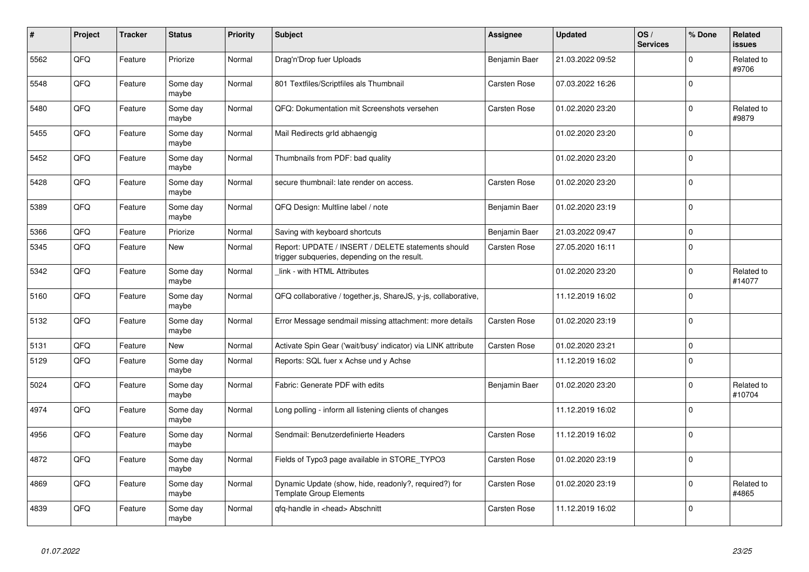| #    | Project | <b>Tracker</b> | <b>Status</b>     | <b>Priority</b> | <b>Subject</b>                                                                                     | <b>Assignee</b>     | <b>Updated</b>   | OS/<br><b>Services</b> | % Done       | <b>Related</b><br><b>issues</b> |
|------|---------|----------------|-------------------|-----------------|----------------------------------------------------------------------------------------------------|---------------------|------------------|------------------------|--------------|---------------------------------|
| 5562 | QFQ     | Feature        | Priorize          | Normal          | Drag'n'Drop fuer Uploads                                                                           | Benjamin Baer       | 21.03.2022 09:52 |                        | $\mathbf 0$  | Related to<br>#9706             |
| 5548 | QFQ     | Feature        | Some day<br>maybe | Normal          | 801 Textfiles/Scriptfiles als Thumbnail                                                            | Carsten Rose        | 07.03.2022 16:26 |                        | $\mathbf 0$  |                                 |
| 5480 | QFQ     | Feature        | Some day<br>maybe | Normal          | QFQ: Dokumentation mit Screenshots versehen                                                        | Carsten Rose        | 01.02.2020 23:20 |                        | $\mathbf 0$  | Related to<br>#9879             |
| 5455 | QFQ     | Feature        | Some day<br>maybe | Normal          | Mail Redirects grld abhaengig                                                                      |                     | 01.02.2020 23:20 |                        | $\mathbf 0$  |                                 |
| 5452 | QFQ     | Feature        | Some day<br>maybe | Normal          | Thumbnails from PDF: bad quality                                                                   |                     | 01.02.2020 23:20 |                        | $\mathbf 0$  |                                 |
| 5428 | QFQ     | Feature        | Some day<br>maybe | Normal          | secure thumbnail: late render on access.                                                           | Carsten Rose        | 01.02.2020 23:20 |                        | $\mathbf 0$  |                                 |
| 5389 | QFQ     | Feature        | Some day<br>maybe | Normal          | QFQ Design: Multline label / note                                                                  | Benjamin Baer       | 01.02.2020 23:19 |                        | $\mathbf 0$  |                                 |
| 5366 | QFQ     | Feature        | Priorize          | Normal          | Saving with keyboard shortcuts                                                                     | Benjamin Baer       | 21.03.2022 09:47 |                        | $\mathbf 0$  |                                 |
| 5345 | QFQ     | Feature        | New               | Normal          | Report: UPDATE / INSERT / DELETE statements should<br>trigger subqueries, depending on the result. | Carsten Rose        | 27.05.2020 16:11 |                        | $\mathbf 0$  |                                 |
| 5342 | QFQ     | Feature        | Some day<br>maybe | Normal          | link - with HTML Attributes                                                                        |                     | 01.02.2020 23:20 |                        | $\pmb{0}$    | Related to<br>#14077            |
| 5160 | QFQ     | Feature        | Some day<br>maybe | Normal          | QFQ collaborative / together.js, ShareJS, y-js, collaborative,                                     |                     | 11.12.2019 16:02 |                        | $\mathbf 0$  |                                 |
| 5132 | QFQ     | Feature        | Some day<br>maybe | Normal          | Error Message sendmail missing attachment: more details                                            | <b>Carsten Rose</b> | 01.02.2020 23:19 |                        | $\Omega$     |                                 |
| 5131 | QFQ     | Feature        | <b>New</b>        | Normal          | Activate Spin Gear ('wait/busy' indicator) via LINK attribute                                      | <b>Carsten Rose</b> | 01.02.2020 23:21 |                        | $\mathsf 0$  |                                 |
| 5129 | QFQ     | Feature        | Some day<br>maybe | Normal          | Reports: SQL fuer x Achse und y Achse                                                              |                     | 11.12.2019 16:02 |                        | $\mathbf 0$  |                                 |
| 5024 | QFQ     | Feature        | Some day<br>maybe | Normal          | Fabric: Generate PDF with edits                                                                    | Benjamin Baer       | 01.02.2020 23:20 |                        | $\mathbf 0$  | Related to<br>#10704            |
| 4974 | QFQ     | Feature        | Some day<br>maybe | Normal          | Long polling - inform all listening clients of changes                                             |                     | 11.12.2019 16:02 |                        | $\mathbf 0$  |                                 |
| 4956 | QFQ     | Feature        | Some dav<br>maybe | Normal          | Sendmail: Benutzerdefinierte Headers                                                               | <b>Carsten Rose</b> | 11.12.2019 16:02 |                        | $\Omega$     |                                 |
| 4872 | QFQ     | Feature        | Some day<br>maybe | Normal          | Fields of Typo3 page available in STORE_TYPO3                                                      | <b>Carsten Rose</b> | 01.02.2020 23:19 |                        | $\mathbf 0$  |                                 |
| 4869 | QFQ     | Feature        | Some day<br>maybe | Normal          | Dynamic Update (show, hide, readonly?, required?) for<br><b>Template Group Elements</b>            | Carsten Rose        | 01.02.2020 23:19 |                        | $\mathbf{0}$ | Related to<br>#4865             |
| 4839 | QFQ     | Feature        | Some day<br>maybe | Normal          | qfq-handle in <head> Abschnitt</head>                                                              | <b>Carsten Rose</b> | 11.12.2019 16:02 |                        | $\mathbf 0$  |                                 |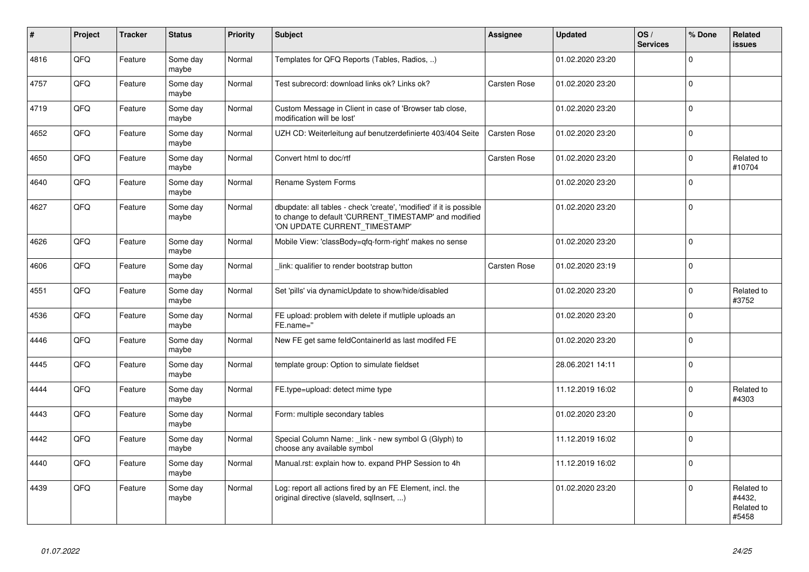| $\vert$ # | Project | <b>Tracker</b> | <b>Status</b>     | <b>Priority</b> | <b>Subject</b>                                                                                                                                                | <b>Assignee</b>     | <b>Updated</b>   | OS/<br><b>Services</b> | % Done       | Related<br><b>issues</b>                    |
|-----------|---------|----------------|-------------------|-----------------|---------------------------------------------------------------------------------------------------------------------------------------------------------------|---------------------|------------------|------------------------|--------------|---------------------------------------------|
| 4816      | QFQ     | Feature        | Some day<br>maybe | Normal          | Templates for QFQ Reports (Tables, Radios, )                                                                                                                  |                     | 01.02.2020 23:20 |                        | $\mathbf 0$  |                                             |
| 4757      | QFQ     | Feature        | Some dav<br>maybe | Normal          | Test subrecord: download links ok? Links ok?                                                                                                                  | <b>Carsten Rose</b> | 01.02.2020 23:20 |                        | $\mathbf 0$  |                                             |
| 4719      | QFQ     | Feature        | Some day<br>maybe | Normal          | Custom Message in Client in case of 'Browser tab close,<br>modification will be lost'                                                                         |                     | 01.02.2020 23:20 |                        | $\mathbf 0$  |                                             |
| 4652      | QFQ     | Feature        | Some day<br>maybe | Normal          | UZH CD: Weiterleitung auf benutzerdefinierte 403/404 Seite                                                                                                    | <b>Carsten Rose</b> | 01.02.2020 23:20 |                        | $\mathbf 0$  |                                             |
| 4650      | QFQ     | Feature        | Some day<br>maybe | Normal          | Convert html to doc/rtf                                                                                                                                       | <b>Carsten Rose</b> | 01.02.2020 23:20 |                        | $\mathbf 0$  | Related to<br>#10704                        |
| 4640      | QFQ     | Feature        | Some day<br>maybe | Normal          | Rename System Forms                                                                                                                                           |                     | 01.02.2020 23:20 |                        | $\mathsf 0$  |                                             |
| 4627      | QFQ     | Feature        | Some day<br>maybe | Normal          | dbupdate: all tables - check 'create', 'modified' if it is possible<br>to change to default 'CURRENT_TIMESTAMP' and modified<br>'ON UPDATE CURRENT_TIMESTAMP' |                     | 01.02.2020 23:20 |                        | $\Omega$     |                                             |
| 4626      | QFQ     | Feature        | Some day<br>maybe | Normal          | Mobile View: 'classBody=qfq-form-right' makes no sense                                                                                                        |                     | 01.02.2020 23:20 |                        | $\mathbf 0$  |                                             |
| 4606      | QFQ     | Feature        | Some day<br>maybe | Normal          | link: qualifier to render bootstrap button                                                                                                                    | <b>Carsten Rose</b> | 01.02.2020 23:19 |                        | $\mathbf{0}$ |                                             |
| 4551      | QFQ     | Feature        | Some day<br>maybe | Normal          | Set 'pills' via dynamicUpdate to show/hide/disabled                                                                                                           |                     | 01.02.2020 23:20 |                        | $\mathbf 0$  | Related to<br>#3752                         |
| 4536      | QFQ     | Feature        | Some day<br>maybe | Normal          | FE upload: problem with delete if mutliple uploads an<br>FE.name="                                                                                            |                     | 01.02.2020 23:20 |                        | $\mathsf 0$  |                                             |
| 4446      | QFQ     | Feature        | Some day<br>maybe | Normal          | New FE get same feldContainerId as last modifed FE                                                                                                            |                     | 01.02.2020 23:20 |                        | $\Omega$     |                                             |
| 4445      | QFQ     | Feature        | Some day<br>maybe | Normal          | template group: Option to simulate fieldset                                                                                                                   |                     | 28.06.2021 14:11 |                        | $\mathbf 0$  |                                             |
| 4444      | QFQ     | Feature        | Some day<br>maybe | Normal          | FE.type=upload: detect mime type                                                                                                                              |                     | 11.12.2019 16:02 |                        | $\mathbf 0$  | Related to<br>#4303                         |
| 4443      | QFQ     | Feature        | Some day<br>maybe | Normal          | Form: multiple secondary tables                                                                                                                               |                     | 01.02.2020 23:20 |                        | $\mathbf{0}$ |                                             |
| 4442      | QFQ     | Feature        | Some day<br>maybe | Normal          | Special Column Name: link - new symbol G (Glyph) to<br>choose any available symbol                                                                            |                     | 11.12.2019 16:02 |                        | $\mathbf 0$  |                                             |
| 4440      | QFQ     | Feature        | Some day<br>maybe | Normal          | Manual.rst: explain how to. expand PHP Session to 4h                                                                                                          |                     | 11.12.2019 16:02 |                        | $\mathbf 0$  |                                             |
| 4439      | QFQ     | Feature        | Some day<br>maybe | Normal          | Log: report all actions fired by an FE Element, incl. the<br>original directive (slaveld, sqllnsert, )                                                        |                     | 01.02.2020 23:20 |                        | $\Omega$     | Related to<br>#4432,<br>Related to<br>#5458 |